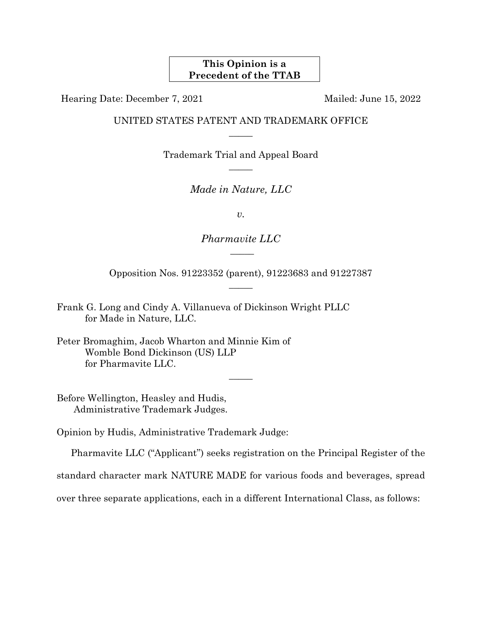# **This Opinion is a Precedent of the TTAB**

Hearing Date: December 7, 2021 Mailed: June 15, 2022

UNITED STATES PATENT AND TRADEMARK OFFICE  $\overline{\phantom{a}}$ 

> Trademark Trial and Appeal Board  $\overline{\phantom{a}}$

> > *Made in Nature, LLC*

*v.*

*Pharmavite LLC*  $\overline{\phantom{a}}$ 

Opposition Nos. 91223352 (parent), 91223683 and 91227387  $\overline{\phantom{a}}$ 

Frank G. Long and Cindy A. Villanueva of Dickinson Wright PLLC for Made in Nature, LLC*.*

Before Wellington, Heasley and Hudis, Administrative Trademark Judges.

Opinion by Hudis, Administrative Trademark Judge:

Pharmavite LLC ("Applicant") seeks registration on the Principal Register of the

standard character mark NATURE MADE for various foods and beverages, spread

 $\overline{\phantom{a}}$ 

over three separate applications, each in a different International Class, as follows:

Peter Bromaghim, Jacob Wharton and Minnie Kim of Womble Bond Dickinson (US) LLP for Pharmavite LLC.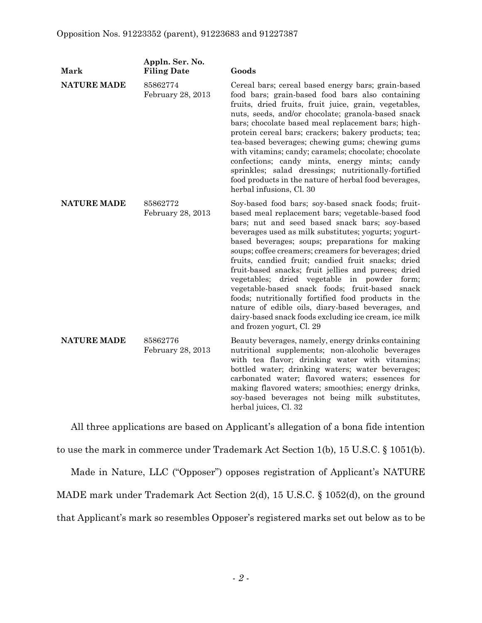| Mark               | Appln. Ser. No.<br><b>Filing Date</b> | Goods                                                                                                                                                                                                                                                                                                                                                                                                                                                                                                                                                                                                                                                                                                                                               |
|--------------------|---------------------------------------|-----------------------------------------------------------------------------------------------------------------------------------------------------------------------------------------------------------------------------------------------------------------------------------------------------------------------------------------------------------------------------------------------------------------------------------------------------------------------------------------------------------------------------------------------------------------------------------------------------------------------------------------------------------------------------------------------------------------------------------------------------|
| <b>NATURE MADE</b> | 85862774<br>February 28, 2013         | Cereal bars; cereal based energy bars; grain-based<br>food bars; grain-based food bars also containing<br>fruits, dried fruits, fruit juice, grain, vegetables,<br>nuts, seeds, and/or chocolate; granola-based snack<br>bars; chocolate based meal replacement bars; high-<br>protein cereal bars; crackers; bakery products; tea;<br>tea-based beverages; chewing gums; chewing gums<br>with vitamins; candy; caramels; chocolate; chocolate<br>confections; candy mints, energy mints; candy<br>sprinkles; salad dressings; nutritionally-fortified<br>food products in the nature of herbal food beverages,<br>herbal infusions, Cl. 30                                                                                                         |
| <b>NATURE MADE</b> | 85862772<br>February 28, 2013         | Soy-based food bars; soy-based snack foods; fruit-<br>based meal replacement bars; vegetable-based food<br>bars; nut and seed based snack bars; soy-based<br>beverages used as milk substitutes; yogurts; yogurt-<br>based beverages; soups; preparations for making<br>soups; coffee creamers; creamers for beverages; dried<br>fruits, candied fruit; candied fruit snacks; dried<br>fruit-based snacks; fruit jellies and purees; dried<br>vegetables; dried vegetable in powder<br>form;<br>vegetable-based snack foods; fruit-based<br>snack<br>foods; nutritionally fortified food products in the<br>nature of edible oils, diary-based beverages, and<br>dairy-based snack foods excluding ice cream, ice milk<br>and frozen yogurt, Cl. 29 |
| <b>NATURE MADE</b> | 85862776<br>February 28, 2013         | Beauty beverages, namely, energy drinks containing<br>nutritional supplements; non-alcoholic beverages<br>with tea flavor; drinking water with vitamins;<br>bottled water; drinking waters; water beverages;<br>carbonated water; flavored waters; essences for<br>making flavored waters; smoothies; energy drinks,<br>soy-based beverages not being milk substitutes,<br>herbal juices, Cl. 32                                                                                                                                                                                                                                                                                                                                                    |

All three applications are based on Applicant's allegation of a bona fide intention to use the mark in commerce under Trademark Act Section 1(b), 15 U.S.C. § 1051(b).

Made in Nature, LLC ("Opposer") opposes registration of Applicant's NATURE MADE mark under Trademark Act Section 2(d), 15 U.S.C. § 1052(d), on the ground that Applicant's mark so resembles Opposer's registered marks set out below as to be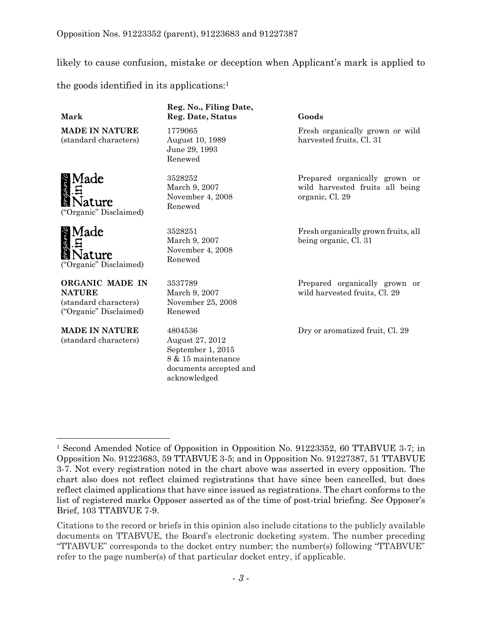likely to cause confusion, mistake or deception when Applicant's mark is applied to

the goods identified in its applications: 1

## **Mark**

**MADE IN NATURE** (standard characters)

Made **\ature** ("Organic" Disclaimed)

Made ature ("Organic" Disclaimed)

**ORGANIC MADE IN NATURE** (standard characters) ("Organic" Disclaimed)

**MADE IN NATURE** (standard characters)

l

# **Reg. No., Filing Date, Reg. Date, Status Goods**

1779065 August 10, 1989 June 29, 1993 Renewed

3528252 March 9, 2007 November 4, 2008 Renewed

3528251 March 9, 2007 November 4, 2008 Renewed

3537789 March 9, 2007 November 25, 2008 Renewed

4804536 August 27, 2012 September 1, 2015 8 & 15 maintenance documents accepted and acknowledged

Fresh organically grown or wild harvested fruits, Cl. 31

Prepared organically grown or wild harvested fruits all being organic, Cl. 29

Fresh organically grown fruits, all being organic, Cl. 31

Prepared organically grown or wild harvested fruits, Cl. 29

Dry or aromatized fruit, Cl. 29

<sup>1</sup> Second Amended Notice of Opposition in Opposition No. 91223352, 60 TTABVUE 3-7; in Opposition No. 91223683, 59 TTABVUE 3-5; and in Opposition No. 91227387, 51 TTABVUE 3-7. Not every registration noted in the chart above was asserted in every opposition. The chart also does not reflect claimed registrations that have since been cancelled, but does reflect claimed applications that have since issued as registrations. The chart conforms to the list of registered marks Opposer asserted as of the time of post-trial briefing. *See* Opposer's Brief, 103 TTABVUE 7-9.

Citations to the record or briefs in this opinion also include citations to the publicly available documents on TTABVUE, the Board's electronic docketing system. The number preceding "TTABVUE" corresponds to the docket entry number; the number(s) following "TTABVUE" refer to the page number(s) of that particular docket entry, if applicable.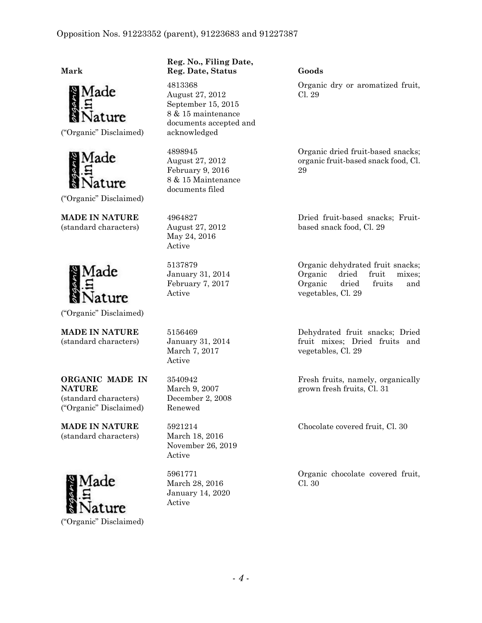**Mark**



("Organic" Disclaimed)



("Organic" Disclaimed)

**MADE IN NATURE** (standard characters)



("Organic" Disclaimed)

**MADE IN NATURE** (standard characters)

**ORGANIC MADE IN NATURE** (standard characters) ("Organic" Disclaimed)

**MADE IN NATURE** (standard characters)



## **Reg. No., Filing Date, Reg. Date, Status Goods**

4813368 August 27, 2012 September 15, 2015 8 & 15 maintenance documents accepted and acknowledged

4898945 August 27, 2012 February 9, 2016 8 & 15 Maintenance documents filed

4964827 August 27, 2012 May 24, 2016 Active

5137879 January 31, 2014 February 7, 2017 Active

5156469 January 31, 2014 March 7, 2017 Active

3540942 March 9, 2007 December 2, 2008 Renewed

5921214 March 18, 2016 November 26, 2019 Active

5961771 March 28, 2016 January 14, 2020 Active

Organic dry or aromatized fruit, Cl. 29

Organic dried fruit-based snacks; organic fruit-based snack food, Cl. 29

Dried fruit-based snacks; Fruitbased snack food, Cl. 29

Organic dehydrated fruit snacks; Organic dried fruit mixes; Organic dried fruits and vegetables, Cl. 29

Dehydrated fruit snacks; Dried fruit mixes; Dried fruits and vegetables, Cl. 29

Fresh fruits, namely, organically grown fresh fruits, Cl. 31

Chocolate covered fruit, Cl. 30

Organic chocolate covered fruit, Cl. 30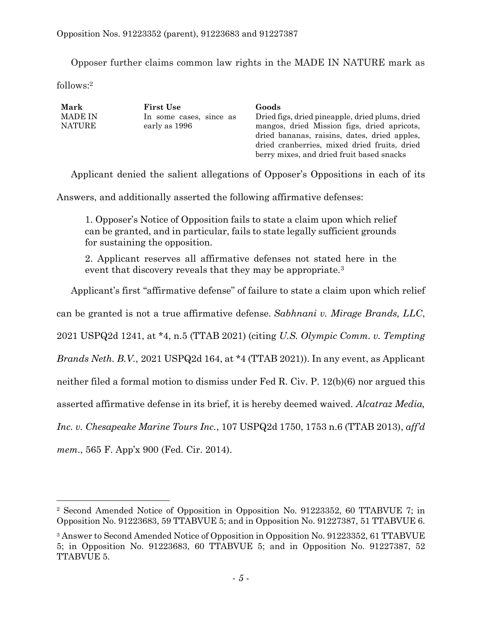Opposer further claims common law rights in the MADE IN NATURE mark as

 $follows<sup>2</sup>$ 

| <b>MADE IN</b><br>Dried figs, dried pineapple, dried plums, dried<br>In some cases, since as<br><b>NATURE</b><br>early as 1996 | mangos, dried Mission figs, dried apricots,<br>dried bananas, raisins, dates, dried apples,<br>dried cranberries, mixed dried fruits, dried<br>berry mixes, and dried fruit based snacks |
|--------------------------------------------------------------------------------------------------------------------------------|------------------------------------------------------------------------------------------------------------------------------------------------------------------------------------------|
|--------------------------------------------------------------------------------------------------------------------------------|------------------------------------------------------------------------------------------------------------------------------------------------------------------------------------------|

Applicant denied the salient allegations of Opposer's Oppositions in each of its

Answers, and additionally asserted the following affirmative defenses:

1. Opposer's Notice of Opposition fails to state a claim upon which relief can be granted, and in particular, fails to state legally sufficient grounds for sustaining the opposition.

2. Applicant reserves all affirmative defenses not stated here in the event that discovery reveals that they may be appropriate.<sup>3</sup>

Applicant's first "affirmative defense" of failure to state a claim upon which relief

can be granted is not a true affirmative defense. *Sabhnani v. Mirage Brands, LLC*,

2021 USPQ2d 1241, at \*4, n.5 (TTAB 2021) (citing *U.S. Olympic Comm. v. Tempting* 

*Brands Neth. B.V.*, 2021 USPQ2d 164, at \*4 (TTAB 2021)). In any event, as Applicant

neither filed a formal motion to dismiss under [Fed R. Civ. P. 12\(b\)\(6\)](https://1.next.westlaw.com/Link/Document/FullText?findType=L&pubNum=1000600&cite=USFRCPR12&originatingDoc=I5c3a0660291711e38911df21cb42a557&refType=LQ&originationContext=document&transitionType=DocumentItem&contextData=(sc.Search)) nor argued this

asserted affirmative defense in its brief, it is hereby deemed waived. *Alcatraz Media,* 

*Inc. v. Chesapeake Marine Tours Inc.*, 107 USPQ2d 1750, 1753 n.6 (TTAB 2013), *aff'd*

*mem*., 565 F. App'x 900 (Fed. Cir. 2014).

<sup>2</sup> Second Amended Notice of Opposition in Opposition No. 91223352, 60 TTABVUE 7; in Opposition No. 91223683, 59 TTABVUE 5; and in Opposition No. 91227387, 51 TTABVUE 6.

<sup>&</sup>lt;sup>3</sup> Answer to Second Amended Notice of Opposition in Opposition No. 91223352, 61 TTABVUE 5; in Opposition No. 91223683, 60 TTABVUE 5; and in Opposition No. 91227387, 52 TTABVUE 5.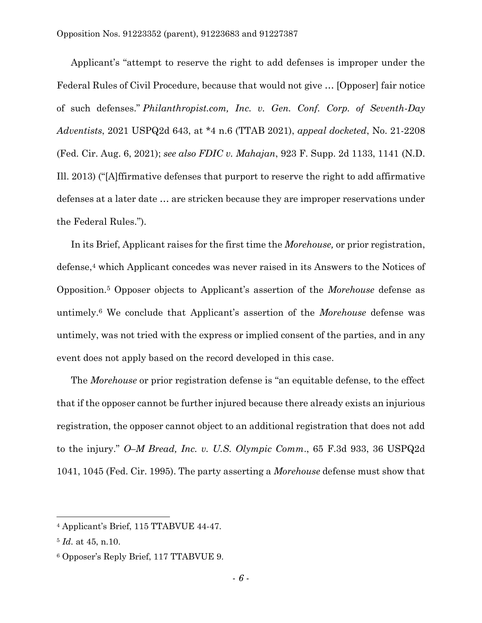Applicant's "attempt to reserve the right to add defenses is improper under the Federal Rules of Civil Procedure, because that would not give … [Opposer] fair notice of such defenses." *Philanthropist.com, Inc. v. Gen. Conf. Corp. of Seventh-Day Adventists*, 2021 USPQ2d 643, at \*4 n.6 (TTAB 2021), *appeal docketed*, No. 21-2208 (Fed. Cir. Aug. 6, 2021); *see also FDIC v. Mahajan*, 923 F. Supp. 2d 1133, 1141 (N.D. Ill. 2013) ("[A]ffirmative defenses that purport to reserve the right to add affirmative defenses at a later date … are stricken because they are improper reservations under the Federal Rules.").

In its Brief, Applicant raises for the first time the *Morehouse,* or prior registration, defense, <sup>4</sup> which Applicant concedes was never raised in its Answers to the Notices of Opposition.<sup>5</sup> Opposer objects to Applicant's assertion of the *Morehouse* defense as untimely.<sup>6</sup> We conclude that Applicant's assertion of the *Morehouse* defense was untimely, was not tried with the express or implied consent of the parties, and in any event does not apply based on the record developed in this case.

The *Morehouse* or prior registration defense is "an equitable defense, to the effect that if the opposer cannot be further injured because there already exists an injurious registration, the opposer cannot object to an additional registration that does not add to the injury." *O–M Bread, Inc. v. U.S. Olympic Comm*., 65 F.3d 933, 36 USPQ2d 1041, 1045 (Fed. Cir. 1995). The party asserting a *Morehouse* defense must show that

<sup>4</sup> Applicant's Brief, 115 TTABVUE 44-47.

<sup>5</sup> *Id.* at 45, n.10.

<sup>6</sup> Opposer's Reply Brief, 117 TTABVUE 9.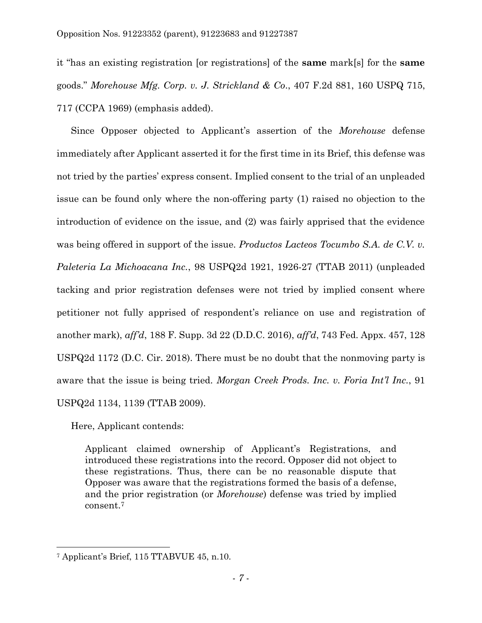it "has an existing registration [or registrations] of the **same** mark[s] for the **same** goods." *Morehouse Mfg. Corp. v. J. Strickland & Co*., 407 F.2d 881, 160 USPQ 715, 717 (CCPA 1969) (emphasis added).

Since Opposer objected to Applicant's assertion of the *Morehouse* defense immediately after Applicant asserted it for the first time in its Brief, this defense was not tried by the parties' express consent. Implied consent to the trial of an unpleaded issue can be found only where the non-offering party (1) raised no objection to the introduction of evidence on the issue, and (2) was fairly apprised that the evidence was being offered in support of the issue. *Productos Lacteos Tocumbo S.A. de C.V. v. Paleteria La Michoacana Inc.*, 98 USPQ2d 1921, 1926-27 (TTAB 2011) (unpleaded tacking and prior registration defenses were not tried by implied consent where petitioner not fully apprised of respondent's reliance on use and registration of another mark), *aff'd*, 188 F. Supp. 3d 22 (D.D.C. 2016), *aff'd*, 743 Fed. Appx. 457, 128 USPQ2d 1172 (D.C. Cir. 2018). There must be no doubt that the nonmoving party is aware that the issue is being tried. *Morgan Creek Prods. Inc. v. Foria Int'l Inc.*, 91 USPQ2d 1134, 1139 (TTAB 2009).

Here, Applicant contends:

Applicant claimed ownership of Applicant's Registrations, and introduced these registrations into the record. Opposer did not object to these registrations. Thus, there can be no reasonable dispute that Opposer was aware that the registrations formed the basis of a defense, and the prior registration (or *Morehouse*) defense was tried by implied consent.<sup>7</sup>

<sup>7</sup> Applicant's Brief, 115 TTABVUE 45, n.10.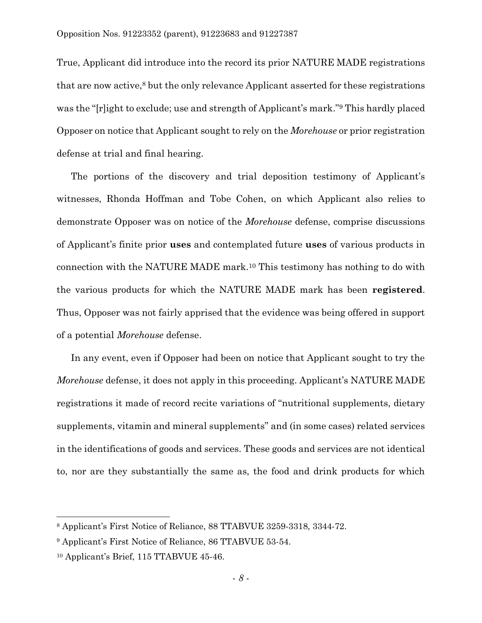True, Applicant did introduce into the record its prior NATURE MADE registrations that are now active, <sup>8</sup> but the only relevance Applicant asserted for these registrations was the "[r]ight to exclude; use and strength of Applicant's mark." <sup>9</sup> This hardly placed Opposer on notice that Applicant sought to rely on the *Morehouse* or prior registration defense at trial and final hearing.

The portions of the discovery and trial deposition testimony of Applicant's witnesses, Rhonda Hoffman and Tobe Cohen, on which Applicant also relies to demonstrate Opposer was on notice of the *Morehouse* defense, comprise discussions of Applicant's finite prior **uses** and contemplated future **uses** of various products in connection with the NATURE MADE mark.<sup>10</sup> This testimony has nothing to do with the various products for which the NATURE MADE mark has been **registered**. Thus, Opposer was not fairly apprised that the evidence was being offered in support of a potential *Morehouse* defense.

In any event, even if Opposer had been on notice that Applicant sought to try the *Morehouse* defense, it does not apply in this proceeding. Applicant's NATURE MADE registrations it made of record recite variations of "nutritional supplements, dietary supplements, vitamin and mineral supplements" and (in some cases) related services in the identifications of goods and services. These goods and services are not identical to, nor are they substantially the same as, the food and drink products for which

<sup>8</sup> Applicant's First Notice of Reliance, 88 TTABVUE 3259-3318, 3344-72.

<sup>9</sup> Applicant's First Notice of Reliance, 86 TTABVUE 53-54.

<sup>10</sup> Applicant's Brief, 115 TTABVUE 45-46.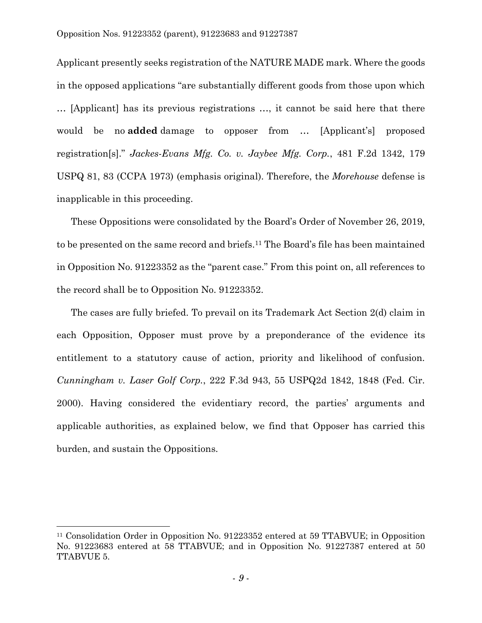Applicant presently seeks registration of the NATURE MADE mark. Where the goods in the opposed applications "are substantially different goods from those upon which … [Applicant] has its previous registrations …, it cannot be said here that there would be no **added** damage to opposer from … [Applicant's] proposed registration[s]." *Jackes-Evans Mfg. Co. v. Jaybee Mfg. Corp.*, 481 F.2d 1342, 179 USPQ 81, 83 (CCPA 1973) (emphasis original). Therefore, the *Morehouse* defense is inapplicable in this proceeding.

These Oppositions were consolidated by the Board's Order of November 26, 2019, to be presented on the same record and briefs. <sup>11</sup> The Board's file has been maintained in Opposition No. 91223352 as the "parent case." From this point on, all references to the record shall be to Opposition No. 91223352.

The cases are fully briefed. To prevail on its Trademark Act Section 2(d) claim in each Opposition, Opposer must prove by a preponderance of the evidence its entitlement to a statutory cause of action, priority and likelihood of confusion. *Cunningham v. Laser Golf Corp.*, 222 F.3d 943, 55 USPQ2d 1842, 1848 (Fed. Cir. 2000). Having considered the evidentiary record, the parties' arguments and applicable authorities, as explained below, we find that Opposer has carried this burden, and sustain the Oppositions.

<sup>11</sup> Consolidation Order in Opposition No. 91223352 entered at 59 TTABVUE; in Opposition No. 91223683 entered at 58 TTABVUE; and in Opposition No. 91227387 entered at 50 TTABVUE 5.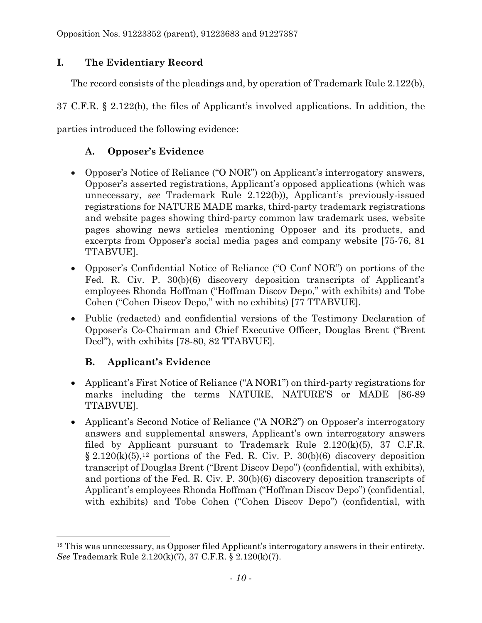# **I. The Evidentiary Record**

The record consists of the pleadings and, by operation of Trademark Rule 2.122(b),

37 C.F.R. § 2.122(b), the files of Applicant's involved applications. In addition, the

parties introduced the following evidence:

# **A. Opposer's Evidence**

- Opposer's Notice of Reliance ("O NOR") on Applicant's interrogatory answers, Opposer's asserted registrations, Applicant's opposed applications (which was unnecessary, *see* Trademark Rule 2.122(b)), Applicant's previously-issued registrations for NATURE MADE marks, third-party trademark registrations and website pages showing third-party common law trademark uses, website pages showing news articles mentioning Opposer and its products, and excerpts from Opposer's social media pages and company website [75-76, 81 TTABVUE].
- Opposer's Confidential Notice of Reliance ("O Conf NOR") on portions of the Fed. R. Civ. P. 30(b)(6) discovery deposition transcripts of Applicant's employees Rhonda Hoffman ("Hoffman Discov Depo," with exhibits) and Tobe Cohen ("Cohen Discov Depo," with no exhibits) [77 TTABVUE].
- Public (redacted) and confidential versions of the Testimony Declaration of Opposer's Co-Chairman and Chief Executive Officer, Douglas Brent ("Brent Decl"), with exhibits [78-80, 82 TTABVUE].

# **B. Applicant's Evidence**

 $\overline{a}$ 

- Applicant's First Notice of Reliance ("A NOR1") on third-party registrations for marks including the terms NATURE, NATURE'S or MADE [86-89 TTABVUE].
- Applicant's Second Notice of Reliance ("A NOR2") on Opposer's interrogatory answers and supplemental answers, Applicant's own interrogatory answers filed by Applicant pursuant to Trademark Rule  $2.120(k)(5)$ , 37 C.F.R.  $\S 2.120(k)(5)$ ,<sup>12</sup> portions of the Fed. R. Civ. P. 30(b)(6) discovery deposition transcript of Douglas Brent ("Brent Discov Depo") (confidential, with exhibits), and portions of the Fed. R. Civ. P. 30(b)(6) discovery deposition transcripts of Applicant's employees Rhonda Hoffman ("Hoffman Discov Depo") (confidential, with exhibits) and Tobe Cohen ("Cohen Discov Depo") (confidential, with

 $12$  This was unnecessary, as Opposer filed Applicant's interrogatory answers in their entirety. *See* Trademark Rule 2.120(k)(7), 37 C.F.R. § 2.120(k)(7).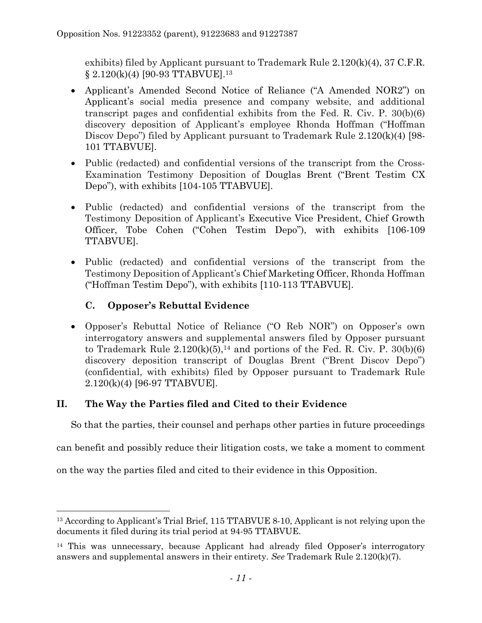exhibits) filed by Applicant pursuant to Trademark Rule 2.120(k)(4), 37 C.F.R. § 2.120(k)(4) [90-93 TTABVUE]. 13

- Applicant's Amended Second Notice of Reliance ("A Amended NOR2") on Applicant's social media presence and company website, and additional transcript pages and confidential exhibits from the Fed. R. Civ. P. 30(b)(6) discovery deposition of Applicant's employee Rhonda Hoffman ("Hoffman Discov Depo") filed by Applicant pursuant to Trademark Rule 2.120(k)(4) [98- 101 TTABVUE].
- Public (redacted) and confidential versions of the transcript from the Cross-Examination Testimony Deposition of Douglas Brent ("Brent Testim CX Depo"), with exhibits [104-105 TTABVUE].
- Public (redacted) and confidential versions of the transcript from the Testimony Deposition of Applicant's Executive Vice President, Chief Growth Officer, Tobe Cohen ("Cohen Testim Depo"), with exhibits [106-109 TTABVUE].
- Public (redacted) and confidential versions of the transcript from the Testimony Deposition of Applicant's Chief Marketing Officer, Rhonda Hoffman ("Hoffman Testim Depo"), with exhibits [110-113 TTABVUE].

# **C. Opposer's Rebuttal Evidence**

l

• Opposer's Rebuttal Notice of Reliance ("O Reb NOR") on Opposer's own interrogatory answers and supplemental answers filed by Opposer pursuant to Trademark Rule  $2.120(k)(5)$ ,<sup>14</sup> and portions of the Fed. R. Civ. P.  $30(b)(6)$ discovery deposition transcript of Douglas Brent ("Brent Discov Depo") (confidential, with exhibits) filed by Opposer pursuant to Trademark Rule 2.120(k)(4) [96-97 TTABVUE].

# **II. The Way the Parties filed and Cited to their Evidence**

So that the parties, their counsel and perhaps other parties in future proceedings

can benefit and possibly reduce their litigation costs, we take a moment to comment

on the way the parties filed and cited to their evidence in this Opposition.

<sup>&</sup>lt;sup>13</sup> According to Applicant's Trial Brief, 115 TTABVUE 8-10, Applicant is not relying upon the documents it filed during its trial period at 94-95 TTABVUE.

<sup>14</sup> This was unnecessary, because Applicant had already filed Opposer's interrogatory answers and supplemental answers in their entirety. *See* Trademark Rule 2.120(k)(7).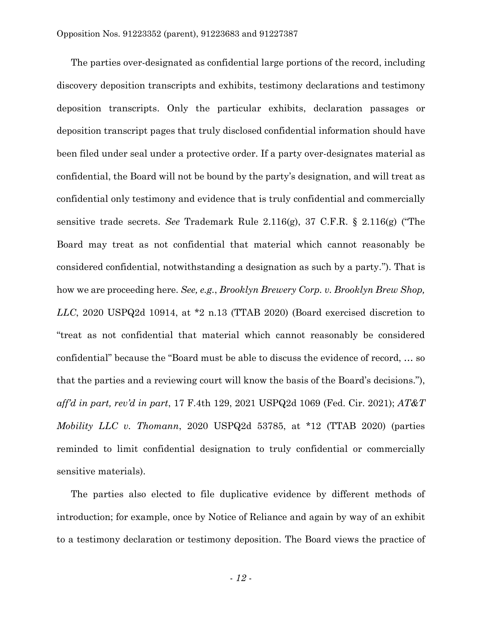The parties over-designated as confidential large portions of the record, including discovery deposition transcripts and exhibits, testimony declarations and testimony deposition transcripts. Only the particular exhibits, declaration passages or deposition transcript pages that truly disclosed confidential information should have been filed under seal under a protective order. If a party over-designates material as confidential, the Board will not be bound by the party's designation, and will treat as confidential only testimony and evidence that is truly confidential and commercially sensitive trade secrets. *See* Trademark Rule 2.116(g), 37 C.F.R. § 2.116(g) ("The Board may treat as not confidential that material which cannot reasonably be considered confidential, notwithstanding a designation as such by a party."). That is how we are proceeding here. *See, e.g.*, *Brooklyn Brewery Corp. v. Brooklyn Brew Shop, LLC*, 2020 USPQ2d 10914, at \*2 n.13 (TTAB 2020) (Board exercised discretion to "treat as not confidential that material which cannot reasonably be considered confidential" because the "Board must be able to discuss the evidence of record, … so that the parties and a reviewing court will know the basis of the Board's decisions."), *aff'd in part, rev'd in part*, 17 F.4th 129, 2021 USPQ2d 1069 (Fed. Cir. 2021); *AT&T Mobility LLC v. Thomann*, 2020 USPQ2d 53785, at \*12 (TTAB 2020) (parties reminded to limit confidential designation to truly confidential or commercially sensitive materials).

The parties also elected to file duplicative evidence by different methods of introduction; for example, once by Notice of Reliance and again by way of an exhibit to a testimony declaration or testimony deposition. The Board views the practice of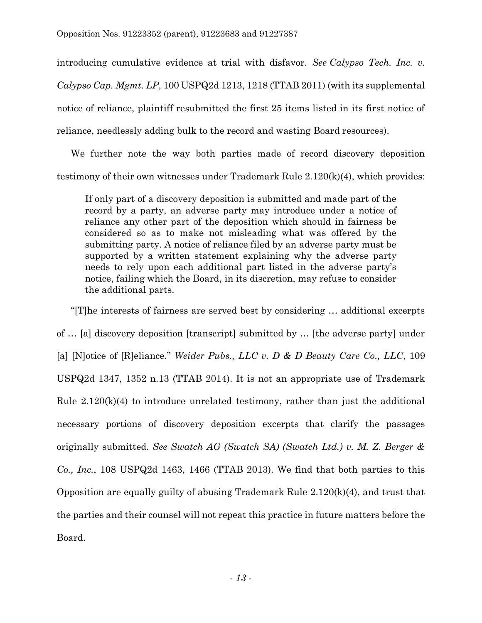introducing cumulative evidence at trial with disfavor. *See Calypso Tech. Inc. v. Calypso Cap. Mgmt. LP*, 100 USPQ2d 1213, 1218 (TTAB 2011) (with its supplemental notice of reliance, plaintiff resubmitted the first 25 items listed in its first notice of reliance, needlessly adding bulk to the record and wasting Board resources).

We further note the way both parties made of record discovery deposition testimony of their own witnesses under Trademark Rule 2.120(k)(4), which provides:

If only part of a discovery deposition is submitted and made part of the record by a party, an adverse party may introduce under a notice of reliance any other part of the deposition which should in fairness be considered so as to make not misleading what was offered by the submitting party. A notice of reliance filed by an adverse party must be supported by a written statement explaining why the adverse party needs to rely upon each additional part listed in the adverse party's notice, failing which the Board, in its discretion, may refuse to consider the additional parts.

"[T]he interests of fairness are served best by considering … additional excerpts of … [a] discovery deposition [transcript] submitted by … [the adverse party] under [a] [N]otice of [R]eliance." *Weider Pubs., LLC v. D & D Beauty Care Co., LLC*, 109 USPQ2d 1347, 1352 n.13 (TTAB 2014). It is not an appropriate use of Trademark Rule  $2.120(k)(4)$  to introduce unrelated testimony, rather than just the additional necessary portions of discovery deposition excerpts that clarify the passages originally submitted. *See Swatch AG (Swatch SA) (Swatch Ltd.) v. M. Z. Berger & Co., Inc.*, 108 USPQ2d 1463, 1466 (TTAB 2013). We find that both parties to this Opposition are equally guilty of abusing Trademark Rule 2.120(k)(4), and trust that the parties and their counsel will not repeat this practice in future matters before the Board.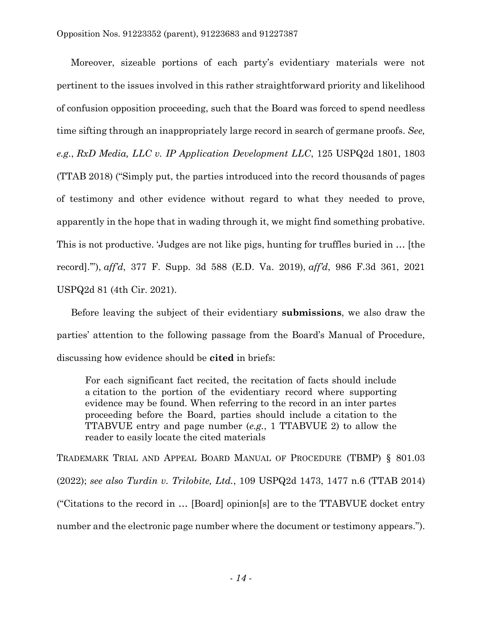Moreover, sizeable portions of each party's evidentiary materials were not pertinent to the issues involved in this rather straightforward priority and likelihood of confusion opposition proceeding, such that the Board was forced to spend needless time sifting through an inappropriately large record in search of germane proofs. *See, e.g.*, *RxD Media, LLC v. IP Application Development LLC*, 125 USPQ2d 1801, 1803 (TTAB 2018) ("Simply put, the parties introduced into the record thousands of pages of testimony and other evidence without regard to what they needed to prove, apparently in the hope that in wading through it, we might find something probative. This is not productive. 'Judges are not like pigs, hunting for truffles buried in … [the record].'"), *aff'd*, 377 F. Supp. 3d 588 (E.D. Va. 2019), *aff'd*, 986 F.3d 361, 2021 USPQ2d 81 (4th Cir. 2021).

Before leaving the subject of their evidentiary **submissions**, we also draw the parties' attention to the following passage from the Board's Manual of Procedure, discussing how evidence should be **cited** in briefs:

For each significant fact recited, the recitation of facts should include a citation to the portion of the evidentiary record where supporting evidence may be found. When referring to the record in an inter partes proceeding before the Board, parties should include a citation to the TTABVUE entry and page number (*e.g.*, 1 TTABVUE 2) to allow the reader to easily locate the cited materials

TRADEMARK TRIAL AND APPEAL BOARD MANUAL OF PROCEDURE (TBMP) § 801.03 (2022); *see also Turdin v. Trilobite, Ltd.*, 109 USPQ2d 1473, 1477 n.6 (TTAB 2014) ("Citations to the record in … [Board] opinion[s] are to the TTABVUE docket entry number and the electronic page number where the document or testimony appears.").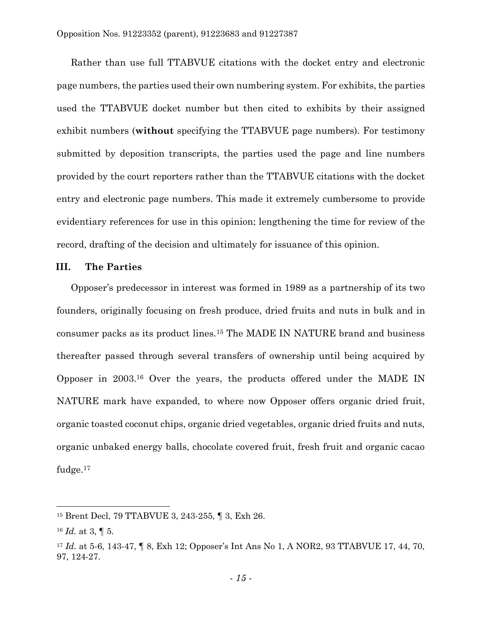Rather than use full TTABVUE citations with the docket entry and electronic page numbers, the parties used their own numbering system. For exhibits, the parties used the TTABVUE docket number but then cited to exhibits by their assigned exhibit numbers (**without** specifying the TTABVUE page numbers). For testimony submitted by deposition transcripts, the parties used the page and line numbers provided by the court reporters rather than the TTABVUE citations with the docket entry and electronic page numbers. This made it extremely cumbersome to provide evidentiary references for use in this opinion; lengthening the time for review of the record, drafting of the decision and ultimately for issuance of this opinion.

### **III. The Parties**

Opposer's predecessor in interest was formed in 1989 as a partnership of its two founders, originally focusing on fresh produce, dried fruits and nuts in bulk and in consumer packs as its product lines.<sup>15</sup> The MADE IN NATURE brand and business thereafter passed through several transfers of ownership until being acquired by Opposer in 2003.<sup>16</sup> Over the years, the products offered under the MADE IN NATURE mark have expanded, to where now Opposer offers organic dried fruit, organic toasted coconut chips, organic dried vegetables, organic dried fruits and nuts, organic unbaked energy balls, chocolate covered fruit, fresh fruit and organic cacao fudge. 17

<sup>15</sup> Brent Decl, 79 TTABVUE 3, 243-255, ¶ 3, Exh 26.

 $16$  *Id.* at 3,  $\boxed{0}$  5.

<sup>17</sup> *Id.* at 5-6, 143-47, ¶ 8, Exh 12; Opposer's Int Ans No 1, A NOR2, 93 TTABVUE 17, 44, 70, 97, 124-27.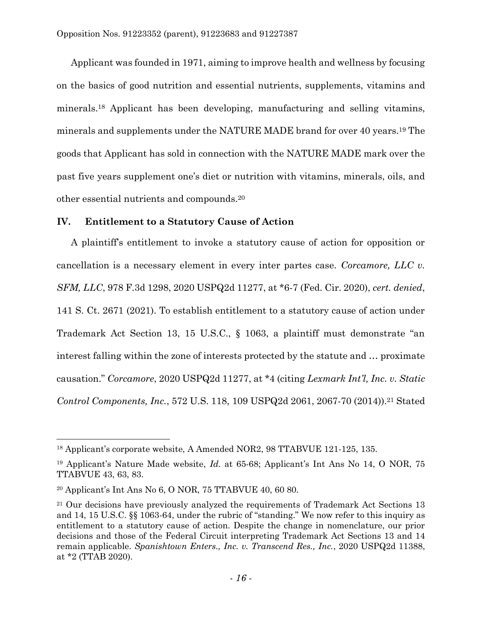Applicant was founded in 1971, aiming to improve health and wellness by focusing on the basics of good nutrition and essential nutrients, supplements, vitamins and minerals.<sup>18</sup> Applicant has been developing, manufacturing and selling vitamins, minerals and supplements under the NATURE MADE brand for over 40 years.<sup>19</sup> The goods that Applicant has sold in connection with the NATURE MADE mark over the past five years supplement one's diet or nutrition with vitamins, minerals, oils, and other essential nutrients and compounds. 20

## **IV. Entitlement to a Statutory Cause of Action**

A plaintiff's entitlement to invoke a statutory cause of action for opposition or cancellation is a necessary element in every inter partes case. *Corcamore, LLC v. SFM, LLC*, 978 F.3d 1298, 2020 USPQ2d 11277, at \*6-7 (Fed. Cir. 2020), *cert. denied*, 141 S. Ct. 2671 (2021). To establish entitlement to a statutory cause of action under Trademark Act Section 13, 15 U.S.C., § 1063, a plaintiff must demonstrate "an interest falling within the zone of interests protected by the statute and … proximate causation." *Corcamore*, 2020 USPQ2d 11277, at \*4 (citing *Lexmark Int'l, Inc. v. Static Control Components, Inc.*, 572 U.S. 118, 109 USPQ2d 2061, 2067-70 (2014)).<sup>21</sup> Stated

 $\overline{a}$ 

<sup>18</sup> Applicant's corporate website, A Amended NOR2, 98 TTABVUE 121-125, 135.

<sup>19</sup> Applicant's Nature Made website, *Id.* at 65-68; Applicant's Int Ans No 14, O NOR, 75 TTABVUE 43, 63, 83.

<sup>20</sup> Applicant's Int Ans No 6, O NOR, 75 TTABVUE 40, 60 80.

<sup>&</sup>lt;sup>21</sup> Our decisions have previously analyzed the requirements of Trademark Act Sections 13 and 14, 15 U.S.C. §§ 1063-64, under the rubric of "standing." We now refer to this inquiry as entitlement to a statutory cause of action. Despite the change in nomenclature, our prior decisions and those of the Federal Circuit interpreting Trademark Act Sections 13 and 14 remain applicable. *Spanishtown Enters., Inc. v. Transcend Res., Inc.*, 2020 USPQ2d 11388, at \*2 (TTAB 2020).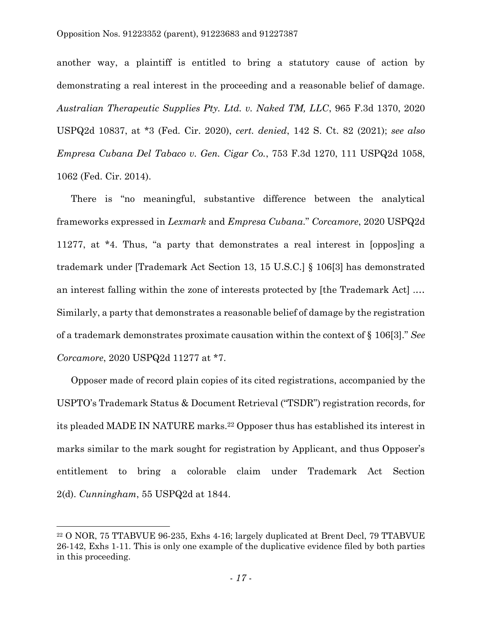another way, a plaintiff is entitled to bring a statutory cause of action by demonstrating a real interest in the proceeding and a reasonable belief of damage. *Australian Therapeutic Supplies Pty. Ltd. v. Naked TM, LLC*, 965 F.3d 1370, 2020 USPQ2d 10837, at \*3 (Fed. Cir. 2020), *cert. denied*, 142 S. Ct. 82 (2021); *see also Empresa Cubana Del Tabaco v. Gen. Cigar Co.*, 753 F.3d 1270, 111 USPQ2d 1058, 1062 (Fed. Cir. 2014).

There is "no meaningful, substantive difference between the analytical frameworks expressed in *Lexmark* and *Empresa Cubana*." *Corcamore*, 2020 USPQ2d 11277, at \*4. Thus, "a party that demonstrates a real interest in [oppos]ing a trademark under [Trademark Act Section 13, 15 U.S.C.] § 106[3] has demonstrated an interest falling within the zone of interests protected by [the Trademark Act] .… Similarly, a party that demonstrates a reasonable belief of damage by the registration of a trademark demonstrates proximate causation within the context of § 106[3]." *See Corcamore*, 2020 USPQ2d 11277 at \*7.

Opposer made of record plain copies of its cited registrations, accompanied by the USPTO's Trademark Status & Document Retrieval ("TSDR") registration records, for its pleaded MADE IN NATURE marks. <sup>22</sup> Opposer thus has established its interest in marks similar to the mark sought for registration by Applicant, and thus Opposer's entitlement to bring a colorable claim under Trademark Act Section 2(d). *Cunningham*, 55 USPQ2d at 1844.

<sup>22</sup> O NOR, 75 TTABVUE 96-235, Exhs 4-16; largely duplicated at Brent Decl, 79 TTABVUE 26-142, Exhs 1-11. This is only one example of the duplicative evidence filed by both parties in this proceeding.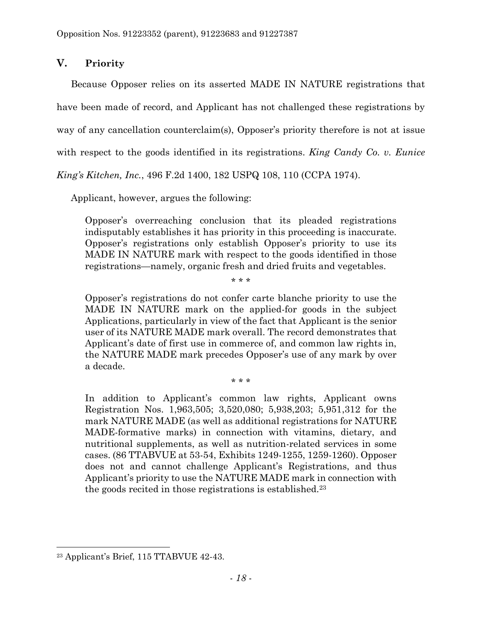# **V. Priority**

Because Opposer relies on its asserted MADE IN NATURE registrations that have been made of record, and Applicant has not challenged these registrations by way of any cancellation counterclaim(s), Opposer's priority therefore is not at issue with respect to the goods identified in its registrations. *King Candy Co. v. Eunice* 

*King's Kitchen, Inc.*, 496 F.2d 1400, 182 USPQ 108, 110 (CCPA 1974).

Applicant, however, argues the following:

Opposer's overreaching conclusion that its pleaded registrations indisputably establishes it has priority in this proceeding is inaccurate. Opposer's registrations only establish Opposer's priority to use its MADE IN NATURE mark with respect to the goods identified in those registrations—namely, organic fresh and dried fruits and vegetables.

\* \* \*

Opposer's registrations do not confer carte blanche priority to use the MADE IN NATURE mark on the applied-for goods in the subject Applications, particularly in view of the fact that Applicant is the senior user of its NATURE MADE mark overall. The record demonstrates that Applicant's date of first use in commerce of, and common law rights in, the NATURE MADE mark precedes Opposer's use of any mark by over a decade.

\* \* \*

In addition to Applicant's common law rights, Applicant owns Registration Nos. 1,963,505; 3,520,080; 5,938,203; 5,951,312 for the mark NATURE MADE (as well as additional registrations for NATURE MADE-formative marks) in connection with vitamins, dietary, and nutritional supplements, as well as nutrition-related services in some cases. (86 TTABVUE at 53-54, Exhibits 1249-1255, 1259-1260). Opposer does not and cannot challenge Applicant's Registrations, and thus Applicant's priority to use the NATURE MADE mark in connection with the goods recited in those registrations is established.<sup>23</sup>

<sup>23</sup> Applicant's Brief, 115 TTABVUE 42-43.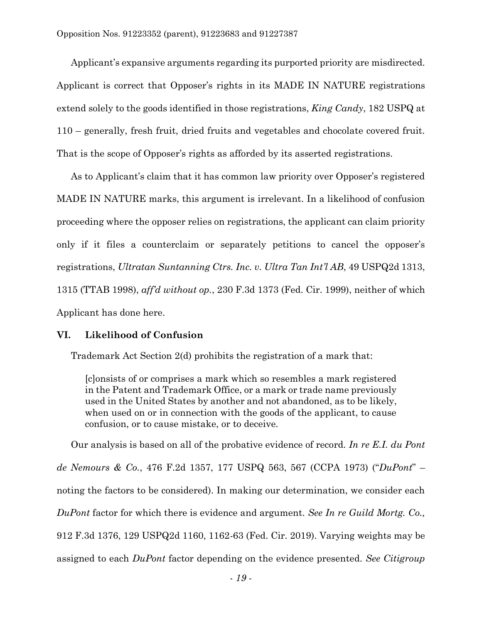Applicant's expansive arguments regarding its purported priority are misdirected. Applicant is correct that Opposer's rights in its MADE IN NATURE registrations extend solely to the goods identified in those registrations, *King Candy*, 182 USPQ at 110 – generally, fresh fruit, dried fruits and vegetables and chocolate covered fruit. That is the scope of Opposer's rights as afforded by its asserted registrations.

As to Applicant's claim that it has common law priority over Opposer's registered MADE IN NATURE marks, this argument is irrelevant. In a likelihood of confusion proceeding where the opposer relies on registrations, the applicant can claim priority only if it files a counterclaim or separately petitions to cancel the opposer's registrations, *Ultratan Suntanning Ctrs. Inc. v. Ultra Tan Int'l AB*, 49 USPQ2d 1313, 1315 (TTAB 1998), *aff'd without op.*, 230 F.3d 1373 (Fed. Cir. 1999), neither of which Applicant has done here.

## **VI. Likelihood of Confusion**

Trademark Act Section 2(d) prohibits the registration of a mark that:

[c]onsists of or comprises a mark which so resembles a mark registered in the Patent and Trademark Office, or a mark or trade name previously used in the United States by another and not abandoned, as to be likely, when used on or in connection with the goods of the applicant, to cause confusion, or to cause mistake, or to deceive.

Our analysis is based on all of the probative evidence of record. *In re E.I. du Pont de Nemours & Co.*, 476 F.2d 1357, 177 USPQ 563, 567 (CCPA 1973) ("*DuPont*" – noting the factors to be considered). In making our determination, we consider each *DuPont* factor for which there is evidence and argument. *See In re Guild Mortg. Co.,*  912 F.3d 1376, 129 USPQ2d 1160, 1162-63 (Fed. Cir. 2019). Varying weights may be assigned to each *DuPont* factor depending on the evidence presented. *See Citigroup*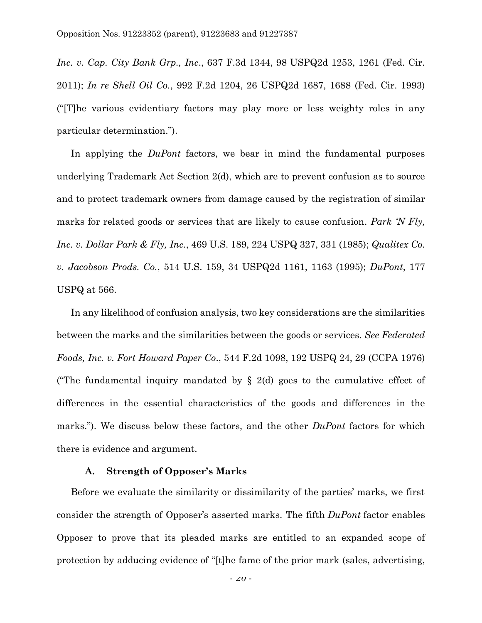*Inc. v. Cap. City Bank Grp., Inc*., 637 F.3d 1344, 98 USPQ2d 1253, 1261 (Fed. Cir. 2011); *In re Shell Oil Co.*, 992 F.2d 1204, 26 USPQ2d 1687, 1688 (Fed. Cir. 1993) ("[T]he various evidentiary factors may play more or less weighty roles in any particular determination.").

In applying the *DuPont* factors, we bear in mind the fundamental purposes underlying Trademark Act Section 2(d), which are to prevent confusion as to source and to protect trademark owners from damage caused by the registration of similar marks for related goods or services that are likely to cause confusion. *Park 'N Fly, Inc. v. Dollar Park & Fly, Inc.*, 469 U.S. 189, 224 USPQ 327, 331 (1985); *Qualitex Co. v. Jacobson Prods. Co.*, 514 U.S. 159, 34 USPQ2d 1161, 1163 (1995); *DuPont*, 177 USPQ at 566.

In any likelihood of confusion analysis, two key considerations are the similarities between the marks and the similarities between the goods or services. *See Federated Foods, Inc. v. Fort Howard Paper Co*., 544 F.2d 1098, 192 USPQ 24, 29 (CCPA 1976) ("The fundamental inquiry mandated by  $\S$  2(d) goes to the cumulative effect of differences in the essential characteristics of the goods and differences in the marks."). We discuss below these factors, and the other *DuPont* factors for which there is evidence and argument.

### **A. Strength of Opposer's Marks**

Before we evaluate the similarity or dissimilarity of the parties' marks, we first consider the strength of Opposer's asserted marks. The fifth *DuPont* factor enables Opposer to prove that its pleaded marks are entitled to an expanded scope of protection by adducing evidence of "[t]he fame of the prior mark (sales, advertising,

- *20* -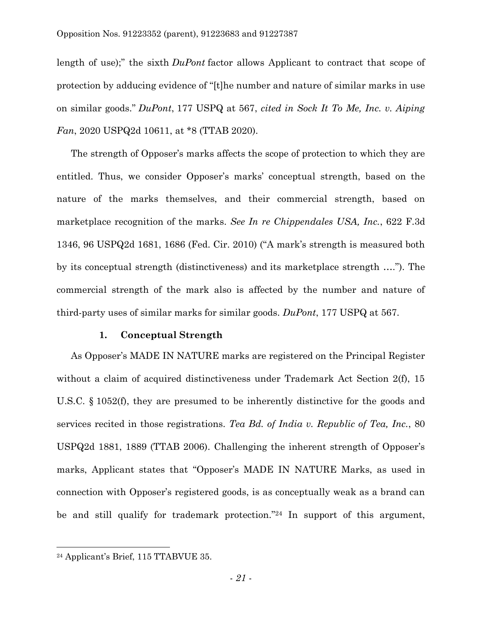length of use);" the sixth *DuPont* factor allows Applicant to contract that scope of protection by adducing evidence of "[t]he number and nature of similar marks in use on similar goods." *DuPont*, 177 USPQ at 567, *cited in Sock It To Me, Inc. v. Aiping Fan*, 2020 USPQ2d 10611, at \*8 (TTAB 2020).

The strength of Opposer's marks affects the scope of protection to which they are entitled. Thus, we consider Opposer's marks' conceptual strength, based on the nature of the marks themselves, and their commercial strength, based on marketplace recognition of the marks. *See In re Chippendales USA, Inc.*, 622 F.3d 1346, 96 USPQ2d 1681, 1686 (Fed. Cir. 2010) ("A mark's strength is measured both by its conceptual strength (distinctiveness) and its marketplace strength …."). The commercial strength of the mark also is affected by the number and nature of third-party uses of similar marks for similar goods. *DuPont*, 177 USPQ at 567.

#### **1. Conceptual Strength**

As Opposer's MADE IN NATURE marks are registered on the Principal Register without a claim of acquired distinctiveness under Trademark Act Section 2(f), 15 U.S.C. § 1052(f), they are presumed to be inherently distinctive for the goods and services recited in those registrations. *Tea Bd. of India v. Republic of Tea, Inc.*, 80 USPQ2d 1881, 1889 (TTAB 2006). Challenging the inherent strength of Opposer's marks, Applicant states that "Opposer's MADE IN NATURE Marks, as used in connection with Opposer's registered goods, is as conceptually weak as a brand can be and still qualify for trademark protection." <sup>24</sup> In support of this argument,

<sup>24</sup> Applicant's Brief, 115 TTABVUE 35.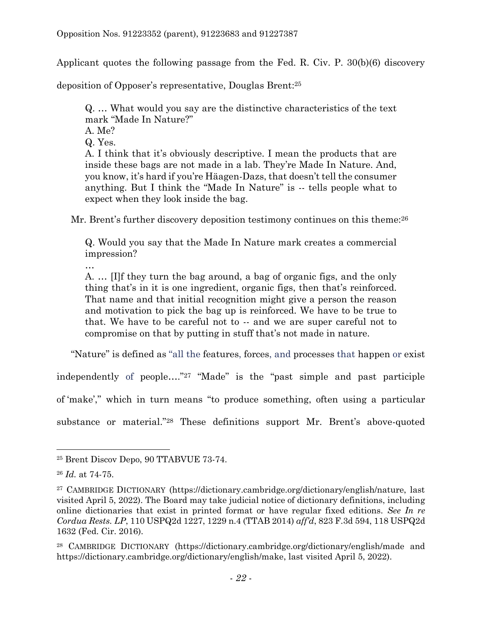Applicant quotes the following passage from the Fed. R. Civ. P. 30(b)(6) discovery

deposition of Opposer's representative, Douglas Brent:<sup>25</sup>

Q. … What would you say are the distinctive characteristics of the text mark "Made In Nature?"

- A. Me?
- Q. Yes.

A. I think that it's obviously descriptive. I mean the products that are inside these bags are not made in a lab. They're Made In Nature. And, you know, it's hard if you're Häagen-Dazs, that doesn't tell the consumer anything. But I think the "Made In Nature" is -- tells people what to expect when they look inside the bag.

Mr. Brent's further discovery deposition testimony continues on this theme:<sup>26</sup>

Q. Would you say that the Made In Nature mark creates a commercial impression?

…

A. … [I]f they turn the bag around, a bag of organic figs, and the only thing that's in it is one ingredient, organic figs, then that's reinforced. That name and that initial recognition might give a person the reason and motivation to pick the bag up is reinforced. We have to be true to that. We have to be careful not to -- and we are super careful not to compromise on that by putting in stuff that's not made in nature.

"Nature" is defined as "all the features, forces, and processes that happen or exist

independently of people…." <sup>27</sup> "Made" is the "past simple and past participle of 'make'," which in turn means "to produce something, often using a particular substance or material."<sup>28</sup> These definitions support Mr. Brent's above-quoted

<sup>25</sup> Brent Discov Depo, 90 TTABVUE 73-74.

<sup>26</sup> *Id.* at 74-75.

<sup>27</sup> CAMBRIDGE DICTIONARY (https://dictionary.cambridge.org/dictionary/english/nature, last visited April 5, 2022). The Board may take judicial notice of dictionary definitions, including online dictionaries that exist in printed format or have regular fixed editions. *See In re Cordua Rests. LP*, 110 USPQ2d 1227, 1229 n.4 (TTAB 2014) *aff'd*, 823 F.3d 594, 118 USPQ2d 1632 (Fed. Cir. 2016).

<sup>28</sup> CAMBRIDGE DICTIONARY (https://dictionary.cambridge.org/dictionary/english/made and https://dictionary.cambridge.org/dictionary/english/make, last visited April 5, 2022).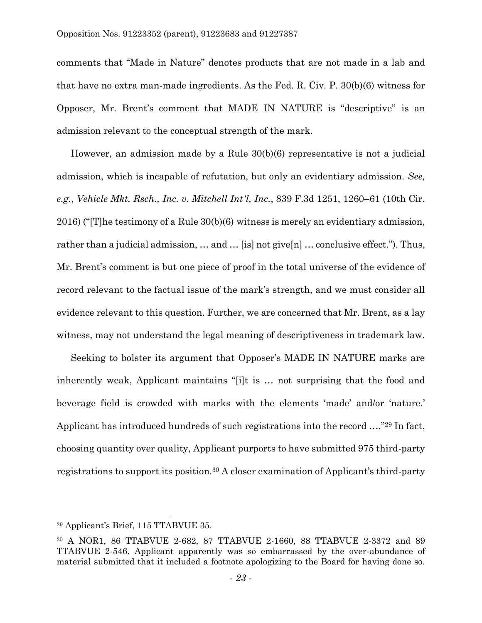comments that "Made in Nature" denotes products that are not made in a lab and that have no extra man-made ingredients. As the Fed. R. Civ. P. 30(b)(6) witness for Opposer, Mr. Brent's comment that MADE IN NATURE is "descriptive" is an admission relevant to the conceptual strength of the mark.

However, an admission made by a Rule 30(b)(6) representative is not a judicial admission, which is incapable of refutation, but only an evidentiary admission. *See, e.g.*, *Vehicle Mkt. Rsch., Inc. v. Mitchell Int'l, Inc.*, 839 F.3d 1251, 1260–61 (10th Cir. 2016) ("[T]he testimony of a Rule 30(b)(6) witness is merely an evidentiary admission, rather than a judicial admission, ... and ... [is] not give[n] ... conclusive effect."). Thus, Mr. Brent's comment is but one piece of proof in the total universe of the evidence of record relevant to the factual issue of the mark's strength, and we must consider all evidence relevant to this question. Further, we are concerned that Mr. Brent, as a lay witness, may not understand the legal meaning of descriptiveness in trademark law.

Seeking to bolster its argument that Opposer's MADE IN NATURE marks are inherently weak, Applicant maintains "[i]t is … not surprising that the food and beverage field is crowded with marks with the elements 'made' and/or 'nature.' Applicant has introduced hundreds of such registrations into the record …."<sup>29</sup> In fact, choosing quantity over quality, Applicant purports to have submitted 975 third-party registrations to support its position.<sup>30</sup> A closer examination of Applicant's third-party

<sup>29</sup> Applicant's Brief, 115 TTABVUE 35.

<sup>30</sup> A NOR1, 86 TTABVUE 2-682, 87 TTABVUE 2-1660, 88 TTABVUE 2-3372 and 89 TTABVUE 2-546. Applicant apparently was so embarrassed by the over-abundance of material submitted that it included a footnote apologizing to the Board for having done so.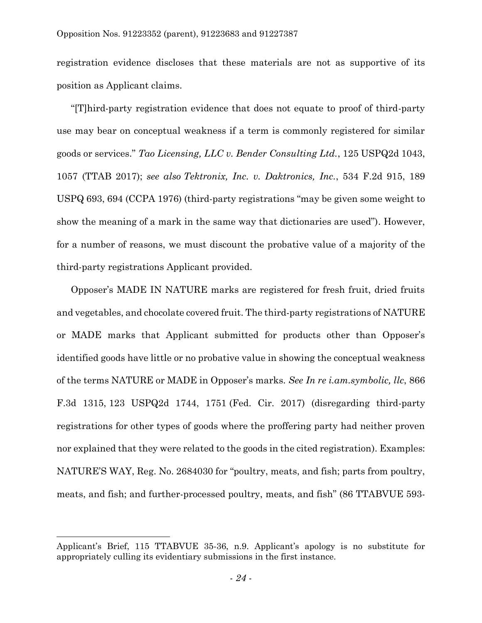registration evidence discloses that these materials are not as supportive of its position as Applicant claims.

"[T]hird-party registration evidence that does not equate to proof of third-party use may bear on conceptual weakness if a term is commonly registered for similar goods or services." *Tao Licensing, LLC v. Bender Consulting Ltd.*, 125 USPQ2d 1043, 1057 (TTAB 2017); *see also Tektronix, Inc. v. Daktronics, Inc.*, 534 F.2d 915, 189 USPQ 693, 694 (CCPA 1976) (third-party registrations "may be given some weight to show the meaning of a mark in the same way that dictionaries are used"). However, for a number of reasons, we must discount the probative value of a majority of the third-party registrations Applicant provided.

Opposer's MADE IN NATURE marks are registered for fresh fruit, dried fruits and vegetables, and chocolate covered fruit. The third-party registrations of NATURE or MADE marks that Applicant submitted for products other than Opposer's identified goods have little or no probative value in showing the conceptual weakness of the terms NATURE or MADE in Opposer's marks. *See In re i.am.symbolic, llc*, 866 F.3d 1315, 123 USPQ2d 1744, 1751 (Fed. Cir. 2017) (disregarding third-party registrations for other types of goods where the proffering party had neither proven nor explained that they were related to the goods in the cited registration). Examples: NATURE'S WAY, Reg. No. 2684030 for "poultry, meats, and fish; parts from poultry, meats, and fish; and further-processed poultry, meats, and fish" (86 TTABVUE 593-

 $\overline{a}$ 

Applicant's Brief, 115 TTABVUE 35-36, n.9. Applicant's apology is no substitute for appropriately culling its evidentiary submissions in the first instance.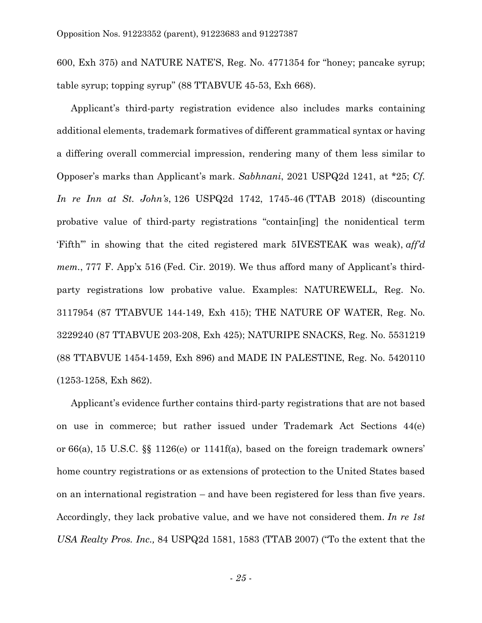600, Exh 375) and NATURE NATE'S, Reg. No. 4771354 for "honey; pancake syrup; table syrup; topping syrup" (88 TTABVUE 45-53, Exh 668).

Applicant's third-party registration evidence also includes marks containing additional elements, trademark formatives of different grammatical syntax or having a differing overall commercial impression, rendering many of them less similar to Opposer's marks than Applicant's mark. *Sabhnani*, 2021 USPQ2d 1241, at \*25; *Cf. In re Inn at St. John's*, 126 USPQ2d 1742, 1745-46 (TTAB 2018) (discounting probative value of third-party registrations "contain[ing] the nonidentical term 'Fifth'" in showing that the cited registered mark 5IVESTEAK was weak), *aff'd mem.*, 777 F. App'x 516 (Fed. Cir. 2019). We thus afford many of Applicant's thirdparty registrations low probative value. Examples: NATUREWELL, Reg. No. 3117954 (87 TTABVUE 144-149, Exh 415); THE NATURE OF WATER, Reg. No. 3229240 (87 TTABVUE 203-208, Exh 425); NATURIPE SNACKS, Reg. No. 5531219 (88 TTABVUE 1454-1459, Exh 896) and MADE IN PALESTINE, Reg. No. 5420110 (1253-1258, Exh 862).

Applicant's evidence further contains third-party registrations that are not based on use in commerce; but rather issued under Trademark Act Sections 44(e) or 66(a), 15 U.S.C. §§ 1126(e) or 1141f(a), based on the foreign trademark owners' home country registrations or as extensions of protection to the United States based on an international registration – and have been registered for less than five years. Accordingly, they lack probative value, and we have not considered them. *In re 1st USA Realty Pros. Inc.,* 84 USPQ2d 1581, 1583 (TTAB 2007) ("To the extent that the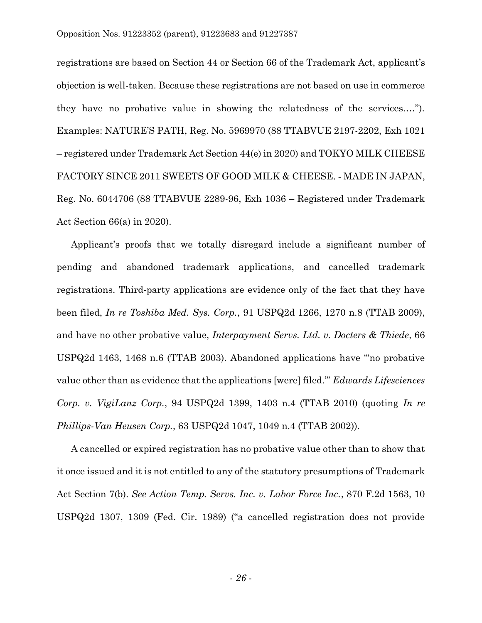registrations are based on Section 44 or Section 66 of the Trademark Act, applicant's objection is well-taken. Because these registrations are not based on use in commerce they have no probative value in showing the relatedness of the services.…"). Examples: NATURE'S PATH, Reg. No. 5969970 (88 TTABVUE 2197-2202, Exh 1021 – registered under Trademark Act Section 44(e) in 2020) and TOKYO MILK CHEESE FACTORY SINCE 2011 SWEETS OF GOOD MILK & CHEESE. ‐ MADE IN JAPAN, Reg. No. 6044706 (88 TTABVUE 2289-96, Exh 1036 – Registered under Trademark Act Section 66(a) in 2020).

Applicant's proofs that we totally disregard include a significant number of pending and abandoned trademark applications, and cancelled trademark registrations. Third-party applications are evidence only of the fact that they have been filed, *In re Toshiba Med. Sys. Corp.*, 91 USPQ2d 1266, 1270 n.8 (TTAB 2009), and have no other probative value, *Interpayment Servs. Ltd. v. Docters & Thiede*, 66 USPQ2d 1463, 1468 n.6 (TTAB 2003). Abandoned applications have "'no probative value other than as evidence that the applications [were] filed.'" *Edwards Lifesciences Corp. v. VigiLanz Corp.*, 94 USPQ2d 1399, 1403 n.4 (TTAB 2010) (quoting *In re Phillips-Van Heusen Corp.*, 63 USPQ2d 1047, 1049 n.4 (TTAB 2002)).

A cancelled or expired registration has no probative value other than to show that it once issued and it is not entitled to any of the statutory presumptions of Trademark Act Section 7(b). *See Action Temp. Servs. Inc. v. Labor Force Inc.*, 870 F.2d 1563, 10 USPQ2d 1307, 1309 (Fed. Cir. 1989) ("a cancelled registration does not provide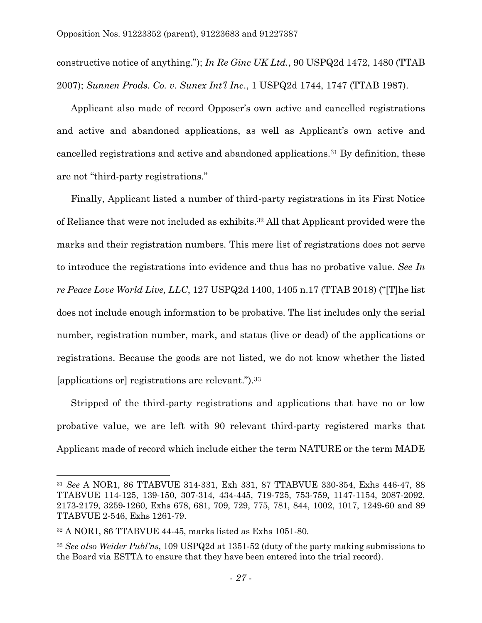constructive notice of anything."); *In Re Ginc UK Ltd.*, 90 USPQ2d 1472, 1480 (TTAB 2007); *Sunnen Prods. Co. v. Sunex Int'l Inc*., 1 USPQ2d 1744, 1747 (TTAB 1987).

Applicant also made of record Opposer's own active and cancelled registrations and active and abandoned applications, as well as Applicant's own active and cancelled registrations and active and abandoned applications.<sup>31</sup> By definition, these are not "third-party registrations."

Finally, Applicant listed a number of third-party registrations in its First Notice of Reliance that were not included as exhibits.<sup>32</sup> All that Applicant provided were the marks and their registration numbers. This mere list of registrations does not serve to introduce the registrations into evidence and thus has no probative value. *See In re Peace Love World Live, LLC*, 127 USPQ2d 1400, 1405 n.17 (TTAB 2018) ("[T]he list does not include enough information to be probative. The list includes only the serial number, registration number, mark, and status (live or dead) of the applications or registrations. Because the goods are not listed, we do not know whether the listed [applications or] registrations are relevant.").<sup>33</sup>

Stripped of the third-party registrations and applications that have no or low probative value, we are left with 90 relevant third-party registered marks that Applicant made of record which include either the term NATURE or the term MADE

<sup>31</sup> *See* A NOR1, 86 TTABVUE 314-331, Exh 331, 87 TTABVUE 330-354, Exhs 446-47, 88 TTABVUE 114-125, 139-150, 307-314, 434-445, 719-725, 753-759, 1147-1154, 2087-2092, 2173-2179, 3259-1260, Exhs 678, 681, 709, 729, 775, 781, 844, 1002, 1017, 1249-60 and 89 TTABVUE 2-546, Exhs 1261-79.

<sup>32</sup> A NOR1, 86 TTABVUE 44-45, marks listed as Exhs 1051-80.

<sup>33</sup> *See also Weider Publ'ns*, 109 USPQ2d at 1351-52 (duty of the party making submissions to the Board via ESTTA to ensure that they have been entered into the trial record).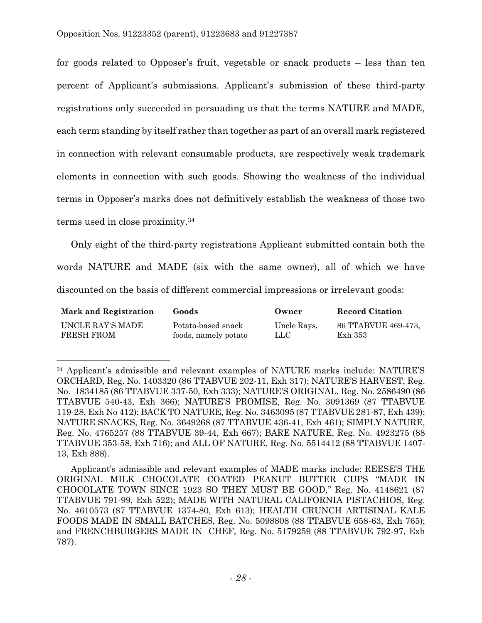l

for goods related to Opposer's fruit, vegetable or snack products – less than ten percent of Applicant's submissions. Applicant's submission of these third-party registrations only succeeded in persuading us that the terms NATURE and MADE, each term standing by itself rather than together as part of an overall mark registered in connection with relevant consumable products, are respectively weak trademark elements in connection with such goods. Showing the weakness of the individual terms in Opposer's marks does not definitively establish the weakness of those two terms used in close proximity. 34

Only eight of the third-party registrations Applicant submitted contain both the words NATURE and MADE (six with the same owner), all of which we have discounted on the basis of different commercial impressions or irrelevant goods:

| <b>Mark and Registration</b> | Goods                | Owner       | <b>Record Citation</b> |
|------------------------------|----------------------|-------------|------------------------|
| UNCLE RAY'S MADE             | Potato-based snack   | Uncle Rays. | 86 TTABVUE 469-473.    |
| FRESH FROM                   | foods, namely potato | LLC-        | Exh 353                |

<sup>34</sup> Applicant's admissible and relevant examples of NATURE marks include: NATURE'S ORCHARD, Reg. No. 1403320 (86 TTABVUE 202-11, Exh 317); NATURE'S HARVEST, Reg. No. 1834185 (86 TTABVUE 337-50, Exh 333); NATURE'S ORIGINAL, Reg. No. 2586490 (86 TTABVUE 540-43, Exh 366); NATURE'S PROMISE, Reg. No. 3091369 (87 TTABVUE 119-28, Exh No 412); BACK TO NATURE, Reg. No. 3463095 (87 TTABVUE 281-87, Exh 439); NATURE SNACKS, Reg. No. 3649268 (87 TTABVUE 436-41, Exh 461); SIMPLY NATURE, Reg. No. 4765257 (88 TTABVUE 39-44, Exh 667); BARE NATURE, Reg. No. 4923275 (88 TTABVUE 353-58, Exh 716); and ALL OF NATURE, Reg. No. 5514412 (88 TTABVUE 1407- 13, Exh 888).

Applicant's admissible and relevant examples of MADE marks include: REESE'S THE ORIGINAL MILK CHOCOLATE COATED PEANUT BUTTER CUPS "MADE IN CHOCOLATE TOWN SINCE 1923 SO THEY MUST BE GOOD," Reg. No. 4148621 (87 TTABVUE 791-99, Exh 522); MADE WITH NATURAL CALIFORNIA PISTACHIOS, Reg. No. 4610573 (87 TTABVUE 1374-80, Exh 613); HEALTH CRUNCH ARTISINAL KALE FOODS MADE IN SMALL BATCHES, Reg. No. 5098808 (88 TTABVUE 658-63, Exh 765); and FRENCHBURGERS MADE IN CHEF, Reg. No. 5179259 (88 TTABVUE 792-97, Exh 787).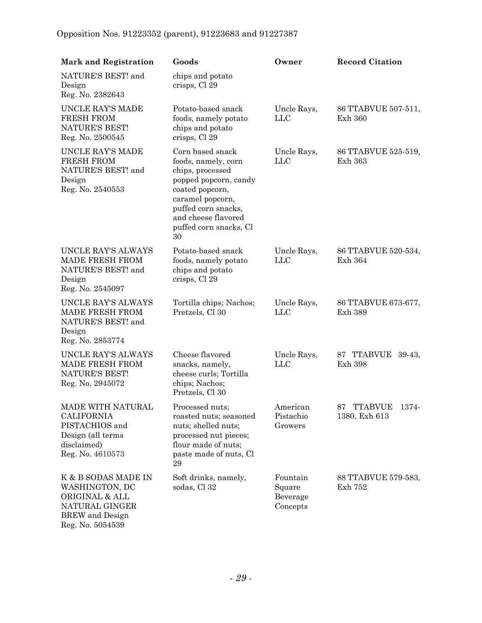| <b>Mark and Registration</b>                                                                                            | Goods                                                                                                                                                                                                     | Owner                                      | <b>Record Citation</b>               |
|-------------------------------------------------------------------------------------------------------------------------|-----------------------------------------------------------------------------------------------------------------------------------------------------------------------------------------------------------|--------------------------------------------|--------------------------------------|
| NATURE'S BEST! and<br>Design<br>Reg. No. 2382643                                                                        | chips and potato<br>crisps, Cl 29                                                                                                                                                                         |                                            |                                      |
| UNCLE RAY'S MADE<br><b>FRESH FROM</b><br>NATURE'S BEST!<br>Reg. No. 2500545                                             | Potato-based snack<br>foods, namely potato<br>chips and potato<br>crisps, Cl 29                                                                                                                           | Uncle Rays,<br><b>LLC</b>                  | 86 TTABVUE 507-511,<br>Exh 360       |
| UNCLE RAY'S MADE<br><b>FRESH FROM</b><br>NATURE'S BEST! and<br>Design<br>Reg. No. 2540553                               | Corn based snack<br>foods, namely, corn<br>chips, processed<br>popped popcorn, candy<br>coated popcorn,<br>caramel popcorn,<br>puffed corn snacks,<br>and cheese flavored<br>puffed corn snacks, Cl<br>30 | Uncle Rays,<br><b>LLC</b>                  | 86 TTABVUE 525-519,<br>Exh 363       |
| UNCLE RAY'S ALWAYS<br><b>MADE FRESH FROM</b><br>NATURE'S BEST! and<br>Design<br>Reg. No. 2545097                        | Potato-based snack<br>foods, namely potato<br>chips and potato<br>crisps, Cl 29                                                                                                                           | Uncle Rays,<br><b>LLC</b>                  | 86 TTABVUE 520-534,<br>Exh 364       |
| UNCLE RAY'S ALWAYS<br>MADE FRESH FROM<br>NATURE'S BEST! and<br>Design<br>Reg. No. 2853774                               | Tortilla chips; Nachos;<br>Pretzels, Cl 30                                                                                                                                                                | Uncle Rays,<br><b>LLC</b>                  | 86 TTABVUE 673-677,<br>Exh 389       |
| UNCLE RAY'S ALWAYS<br><b>MADE FRESH FROM</b><br><b>NATURE'S BEST!</b><br>Reg. No. 2945072                               | Cheese flavored<br>snacks, namely,<br>cheese curls; Tortilla<br>chips; Nachos;<br>Pretzels, Cl 30                                                                                                         | Uncle Rays,<br>${\rm LLC}$                 | 87 TTABVUE 39-43,<br>Exh 398         |
| MADE WITH NATURAL<br>CALIFORNIA<br>PISTACHIOS and<br>Design (all terms<br>disclaimed)<br>Reg. No. 4610573               | Processed nuts;<br>roasted nuts; seasoned<br>nuts; shelled nuts;<br>processed nut pieces;<br>flour made of nuts;<br>paste made of nuts, Cl<br>$\bf 29$                                                    | American<br>Pistachio<br>Growers           | TTABVUE 1374-<br>87<br>1380, Exh 613 |
| K & B SODAS MADE IN<br>WASHINGTON, DC<br>ORIGINAL & ALL<br>NATURAL GINGER<br><b>BREW</b> and Design<br>Reg. No. 5054539 | Soft drinks, namely,<br>sodas, Cl 32                                                                                                                                                                      | Fountain<br>Square<br>Beverage<br>Concepts | 88 TTABVUE 579-583,<br>Exh 752       |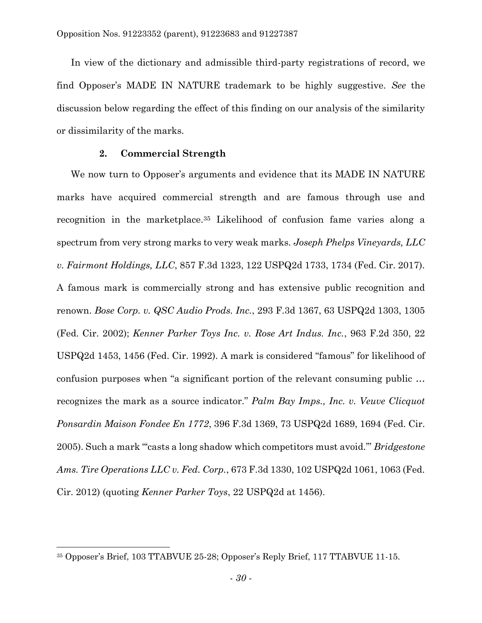In view of the dictionary and admissible third-party registrations of record, we find Opposer's MADE IN NATURE trademark to be highly suggestive. *See* the discussion below regarding the effect of this finding on our analysis of the similarity or dissimilarity of the marks.

## **2. Commercial Strength**

We now turn to Opposer's arguments and evidence that its MADE IN NATURE marks have acquired commercial strength and are famous through use and recognition in the marketplace.<sup>35</sup> Likelihood of confusion fame varies along a spectrum from very strong marks to very weak marks. *Joseph Phelps Vineyards, LLC v. Fairmont Holdings, LLC*, 857 F.3d 1323, 122 USPQ2d 1733, 1734 (Fed. Cir. 2017). A famous mark is commercially strong and has extensive public recognition and renown. *Bose Corp. v. QSC Audio Prods. Inc.*, 293 F.3d 1367, 63 USPQ2d 1303, 1305 (Fed. Cir. 2002); *Kenner Parker Toys Inc. v. Rose Art Indus. Inc.*, 963 F.2d 350, 22 USPQ2d 1453, 1456 (Fed. Cir. 1992). A mark is considered "famous" for likelihood of confusion purposes when "a significant portion of the relevant consuming public … recognizes the mark as a source indicator." *Palm Bay Imps., Inc. v. Veuve Clicquot Ponsardin Maison Fondee En 1772*, 396 F.3d 1369, 73 USPQ2d 1689, 1694 (Fed. Cir. 2005). Such a mark "'casts a long shadow which competitors must avoid.'" *Bridgestone Ams. Tire Operations LLC v. Fed. Corp.*, 673 F.3d 1330, 102 USPQ2d 1061, 1063 (Fed. Cir. 2012) (quoting *Kenner Parker Toys*, 22 USPQ2d at 1456).

<sup>35</sup> Opposer's Brief, 103 TTABVUE 25-28; Opposer's Reply Brief, 117 TTABVUE 11-15.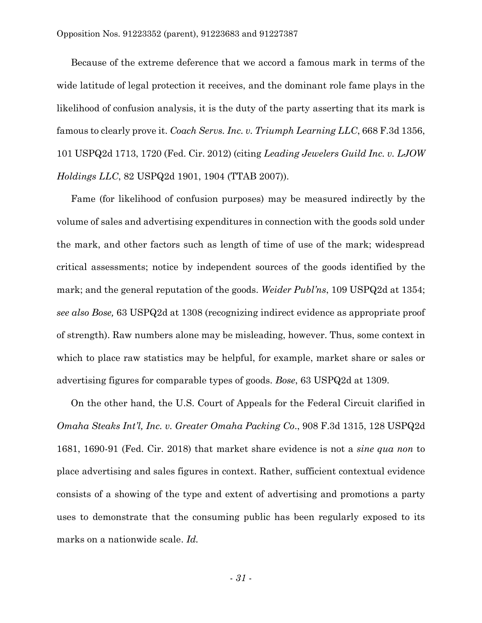Because of the extreme deference that we accord a famous mark in terms of the wide latitude of legal protection it receives, and the dominant role fame plays in the likelihood of confusion analysis, it is the duty of the party asserting that its mark is famous to clearly prove it. *Coach Servs. Inc. v. Triumph Learning LLC*, 668 F.3d 1356, 101 USPQ2d 1713, 1720 (Fed. Cir. 2012) (citing *Leading Jewelers Guild Inc. v. LJOW Holdings LLC*, 82 USPQ2d 1901, 1904 (TTAB 2007)).

Fame (for likelihood of confusion purposes) may be measured indirectly by the volume of sales and advertising expenditures in connection with the goods sold under the mark, and other factors such as length of time of use of the mark; widespread critical assessments; notice by independent sources of the goods identified by the mark; and the general reputation of the goods. *Weider Publ'ns*, 109 USPQ2d at 1354; *see also Bose,* 63 USPQ2d at 1308 (recognizing indirect evidence as appropriate proof of strength). Raw numbers alone may be misleading, however. Thus, some context in which to place raw statistics may be helpful, for example, market share or sales or advertising figures for comparable types of goods. *Bose*, 63 USPQ2d at 1309.

On the other hand, the U.S. Court of Appeals for the Federal Circuit clarified in *Omaha Steaks Int'l, Inc. v. Greater Omaha Packing Co*., 908 F.3d 1315, 128 USPQ2d 1681, 1690-91 (Fed. Cir. 2018) that market share evidence is not a *sine qua non* to place advertising and sales figures in context. Rather, sufficient contextual evidence consists of a showing of the type and extent of advertising and promotions a party uses to demonstrate that the consuming public has been regularly exposed to its marks on a nationwide scale. *Id.*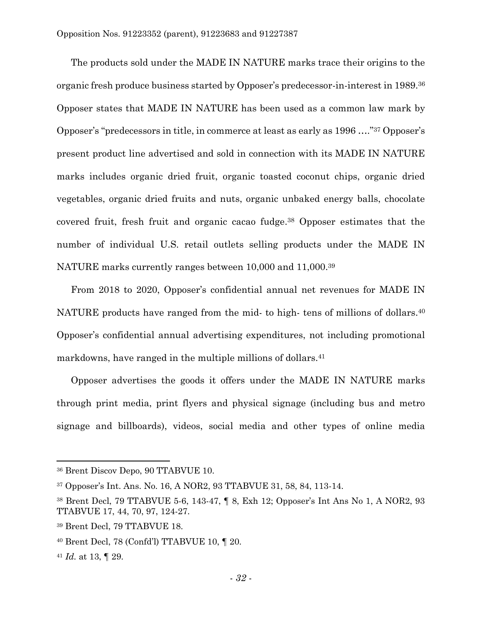The products sold under the MADE IN NATURE marks trace their origins to the organic fresh produce business started by Opposer's predecessor-in-interest in 1989.<sup>36</sup> Opposer states that MADE IN NATURE has been used as a common law mark by Opposer's "predecessors in title, in commerce at least as early as 1996 …." <sup>37</sup> Opposer's present product line advertised and sold in connection with its MADE IN NATURE marks includes organic dried fruit, organic toasted coconut chips, organic dried vegetables, organic dried fruits and nuts, organic unbaked energy balls, chocolate covered fruit, fresh fruit and organic cacao fudge. <sup>38</sup> Opposer estimates that the number of individual U.S. retail outlets selling products under the MADE IN NATURE marks currently ranges between 10,000 and 11,000.<sup>39</sup>

From 2018 to 2020, Opposer's confidential annual net revenues for MADE IN NATURE products have ranged from the mid- to high- tens of millions of dollars.<sup>40</sup> Opposer's confidential annual advertising expenditures, not including promotional markdowns, have ranged in the multiple millions of dollars.<sup>41</sup>

Opposer advertises the goods it offers under the MADE IN NATURE marks through print media, print flyers and physical signage (including bus and metro signage and billboards), videos, social media and other types of online media

<sup>36</sup> Brent Discov Depo, 90 TTABVUE 10.

<sup>37</sup> Opposer's Int. Ans. No. 16, A NOR2, 93 TTABVUE 31, 58, 84, 113-14.

<sup>38</sup> Brent Decl, 79 TTABVUE 5-6, 143-47, ¶ 8, Exh 12; Opposer's Int Ans No 1, A NOR2, 93 TTABVUE 17, 44, 70, 97, 124-27.

<sup>39</sup> Brent Decl, 79 TTABVUE 18.

<sup>40</sup> Brent Decl, 78 (Confd'l) TTABVUE 10, ¶ 20.

<sup>41</sup> *Id.* at 13, ¶ 29.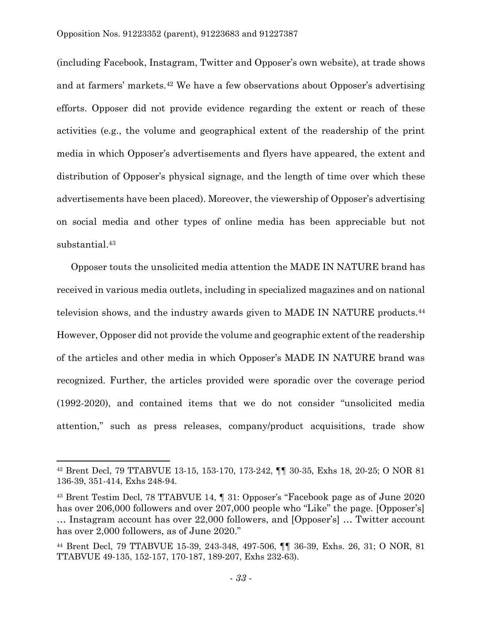(including Facebook, Instagram, Twitter and Opposer's own website), at trade shows and at farmers' markets.<sup>42</sup> We have a few observations about Opposer's advertising efforts. Opposer did not provide evidence regarding the extent or reach of these activities (e.g., the volume and geographical extent of the readership of the print media in which Opposer's advertisements and flyers have appeared, the extent and distribution of Opposer's physical signage, and the length of time over which these advertisements have been placed). Moreover, the viewership of Opposer's advertising on social media and other types of online media has been appreciable but not substantial. 43

Opposer touts the unsolicited media attention the MADE IN NATURE brand has received in various media outlets, including in specialized magazines and on national television shows, and the industry awards given to MADE IN NATURE products.<sup>44</sup> However, Opposer did not provide the volume and geographic extent of the readership of the articles and other media in which Opposer's MADE IN NATURE brand was recognized. Further, the articles provided were sporadic over the coverage period (1992-2020), and contained items that we do not consider "unsolicited media attention," such as press releases, company/product acquisitions, trade show

<sup>42</sup> Brent Decl, 79 TTABVUE 13-15, 153-170, 173-242, ¶¶ 30-35, Exhs 18, 20-25; O NOR 81 136-39, 351-414, Exhs 248-94.

<sup>43</sup> Brent Testim Decl, 78 TTABVUE 14, ¶ 31: Opposer's "Facebook page as of June 2020 has over 206,000 followers and over 207,000 people who "Like" the page. [Opposer's] … Instagram account has over 22,000 followers, and [Opposer's] … Twitter account has over 2,000 followers, as of June 2020."

<sup>44</sup> Brent Decl, 79 TTABVUE 15-39, 243-348, 497-506, ¶¶ 36-39, Exhs. 26, 31; O NOR, 81 TTABVUE 49-135, 152-157, 170-187, 189-207, Exhs 232-63).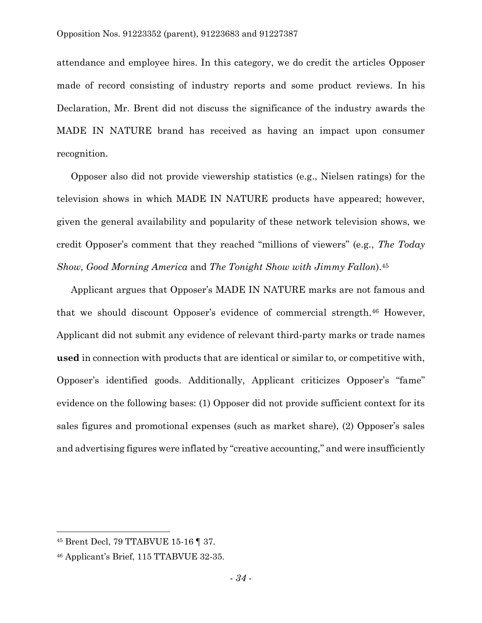attendance and employee hires. In this category, we do credit the articles Opposer made of record consisting of industry reports and some product reviews. In his Declaration, Mr. Brent did not discuss the significance of the industry awards the MADE IN NATURE brand has received as having an impact upon consumer recognition.

Opposer also did not provide viewership statistics (e.g., Nielsen ratings) for the television shows in which MADE IN NATURE products have appeared; however, given the general availability and popularity of these network television shows, we credit Opposer's comment that they reached "millions of viewers" (e.g., *The Today Show, Good Morning America* and *The Tonight Show with Jimmy Fallon*). 45

Applicant argues that Opposer's MADE IN NATURE marks are not famous and that we should discount Opposer's evidence of commercial strength.<sup>46</sup> However, Applicant did not submit any evidence of relevant third-party marks or trade names **used** in connection with products that are identical or similar to, or competitive with, Opposer's identified goods. Additionally, Applicant criticizes Opposer's "fame" evidence on the following bases: (1) Opposer did not provide sufficient context for its sales figures and promotional expenses (such as market share), (2) Opposer's sales and advertising figures were inflated by "creative accounting," and were insufficiently

 $\overline{a}$ 

<sup>45</sup> Brent Decl, 79 TTABVUE 15-16 ¶ 37.

<sup>46</sup> Applicant's Brief, 115 TTABVUE 32-35.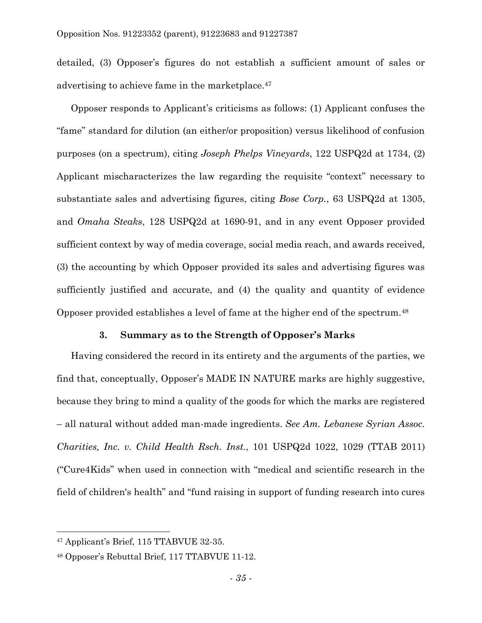detailed, (3) Opposer's figures do not establish a sufficient amount of sales or advertising to achieve fame in the marketplace. 47

Opposer responds to Applicant's criticisms as follows: (1) Applicant confuses the "fame" standard for dilution (an either/or proposition) versus likelihood of confusion purposes (on a spectrum), citing *Joseph Phelps Vineyards*, 122 USPQ2d at 1734, (2) Applicant mischaracterizes the law regarding the requisite "context" necessary to substantiate sales and advertising figures, citing *Bose Corp.*, 63 USPQ2d at 1305, and *Omaha Steaks*, 128 USPQ2d at 1690-91, and in any event Opposer provided sufficient context by way of media coverage, social media reach, and awards received, (3) the accounting by which Opposer provided its sales and advertising figures was sufficiently justified and accurate, and (4) the quality and quantity of evidence Opposer provided establishes a level of fame at the higher end of the spectrum.<sup>48</sup>

## **3. Summary as to the Strength of Opposer's Marks**

Having considered the record in its entirety and the arguments of the parties, we find that, conceptually, Opposer's MADE IN NATURE marks are highly suggestive, because they bring to mind a quality of the goods for which the marks are registered – all natural without added man-made ingredients. *See Am. Lebanese Syrian Assoc. Charities, Inc. v. Child Health Rsch. Inst.*, 101 USPQ2d 1022, 1029 (TTAB 2011) ("Cure4Kids" when used in connection with "medical and scientific research in the field of children's health" and "fund raising in support of funding research into cures

 $\overline{a}$ 

<sup>47</sup> Applicant's Brief, 115 TTABVUE 32-35.

<sup>48</sup> Opposer's Rebuttal Brief, 117 TTABVUE 11-12.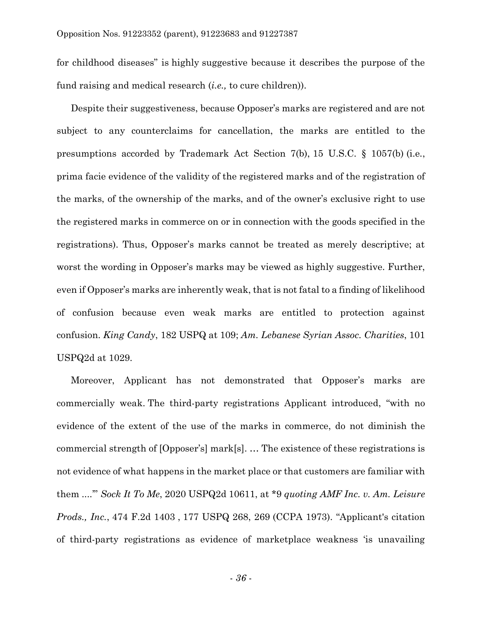for childhood diseases" is highly suggestive because it describes the purpose of the fund raising and medical research (*i.e.,* to cure children)).

Despite their suggestiveness, because Opposer's marks are registered and are not subject to any counterclaims for cancellation, the marks are entitled to the presumptions accorded by Trademark Act Section 7(b), 15 U.S.C. § 1057(b) (i.e*.*, prima facie evidence of the validity of the registered marks and of the registration of the marks, of the ownership of the marks, and of the owner's exclusive right to use the registered marks in commerce on or in connection with the goods specified in the registrations). Thus, Opposer's marks cannot be treated as merely descriptive; at worst the wording in Opposer's marks may be viewed as highly suggestive. Further, even if Opposer's marks are inherently weak, that is not fatal to a finding of likelihood of confusion because even weak marks are entitled to protection against confusion. *King Candy*, 182 USPQ at 109; *Am. Lebanese Syrian Assoc. Charities*, 101 USPQ2d at 1029.

Moreover, Applicant has not demonstrated that Opposer's marks are commercially weak. The third-party registrations Applicant introduced, "with no evidence of the extent of the use of the marks in commerce, do not diminish the commercial strength of [Opposer's] mark[s]. … The existence of these registrations is not evidence of what happens in the market place or that customers are familiar with them ....'" *Sock It To Me*, 2020 USPQ2d 10611, at \*9 *quoting AMF Inc. v. Am. Leisure Prods., Inc.*, 474 F.2d 1403 , 177 USPQ 268, 269 (CCPA 1973). "Applicant's citation of third-party registrations as evidence of marketplace weakness 'is unavailing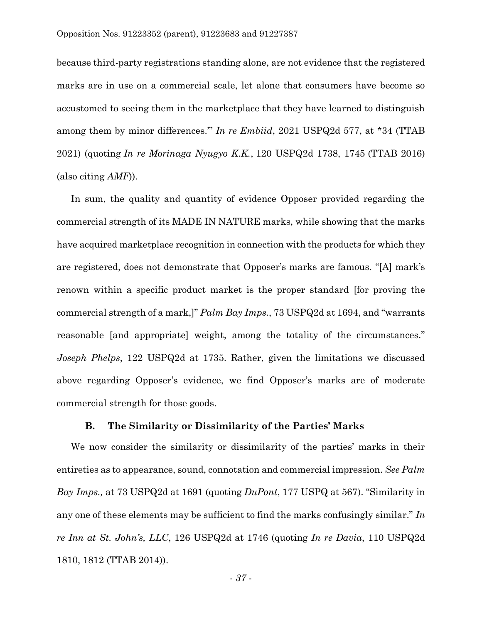because third-party registrations standing alone, are not evidence that the registered marks are in use on a commercial scale, let alone that consumers have become so accustomed to seeing them in the marketplace that they have learned to distinguish among them by minor differences.'" *In re Embiid*, 2021 USPQ2d 577, at \*34 (TTAB 2021) (quoting *In re Morinaga Nyugyo K.K.*, 120 USPQ2d 1738, 1745 (TTAB 2016) (also citing *AMF*)).

In sum, the quality and quantity of evidence Opposer provided regarding the commercial strength of its MADE IN NATURE marks, while showing that the marks have acquired marketplace recognition in connection with the products for which they are registered, does not demonstrate that Opposer's marks are famous. "[A] mark's renown within a specific product market is the proper standard [for proving the commercial strength of a mark,]" *Palm Bay Imps.*, 73 USPQ2d at 1694, and "warrants reasonable [and appropriate] weight, among the totality of the circumstances." *Joseph Phelps*, 122 USPQ2d at 1735. Rather, given the limitations we discussed above regarding Opposer's evidence, we find Opposer's marks are of moderate commercial strength for those goods.

# **B. The Similarity or Dissimilarity of the Parties' Marks**

We now consider the similarity or dissimilarity of the parties' marks in their entireties as to appearance, sound, connotation and commercial impression. *See Palm Bay Imps.,* at 73 USPQ2d at 1691 (quoting *DuPont*, 177 USPQ at 567). "Similarity in any one of these elements may be sufficient to find the marks confusingly similar." *In re Inn at St. John's, LLC*, 126 USPQ2d at 1746 (quoting *In re Davia*, 110 USPQ2d 1810, 1812 (TTAB 2014)).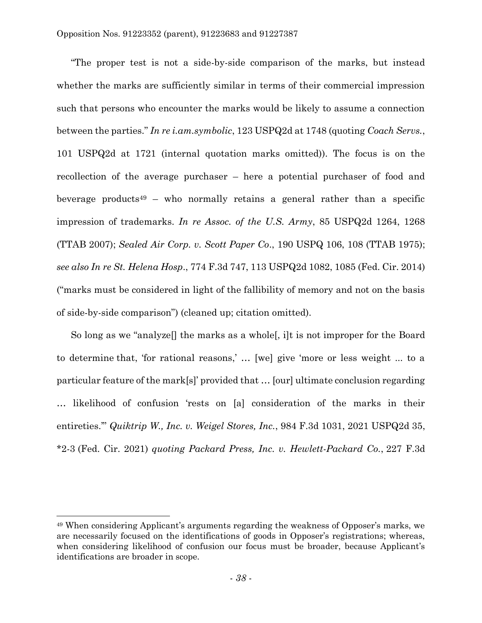"The proper test is not a side-by-side comparison of the marks, but instead whether the marks are sufficiently similar in terms of their commercial impression such that persons who encounter the marks would be likely to assume a connection between the parties." *In re i.am.symbolic*, 123 USPQ2d at 1748 (quoting *Coach Servs.*, 101 USPQ2d at 1721 (internal quotation marks omitted)). The focus is on the recollection of the average purchaser – here a potential purchaser of food and beverage products<sup>49</sup> – who normally retains a general rather than a specific impression of trademarks. *In re Assoc. of the U.S. Army*, 85 USPQ2d 1264, 1268 (TTAB 2007); *Sealed Air Corp. v. Scott Paper Co*., 190 USPQ 106, 108 (TTAB 1975); *see also In re St. Helena Hosp*., 774 F.3d 747, 113 USPQ2d 1082, 1085 (Fed. Cir. 2014) ("marks must be considered in light of the fallibility of memory and not on the basis of side-by-side comparison") (cleaned up; citation omitted).

So long as we "analyze[] the marks as a whole[, i]t is not improper for the Board to determine that, 'for rational reasons,' … [we] give 'more or less weight ... to a particular feature of the mark[s]' provided that … [our] ultimate conclusion regarding … likelihood of confusion 'rests on [a] consideration of the marks in their entireties.'" *Quiktrip W., Inc. v. Weigel Stores, Inc.*, 984 F.3d 1031, 2021 USPQ2d 35, \*2-3 (Fed. Cir. 2021) *quoting Packard Press, Inc. v. Hewlett-Packard Co.*, 227 F.3d

<sup>49</sup> When considering Applicant's arguments regarding the weakness of Opposer's marks, we are necessarily focused on the identifications of goods in Opposer's registrations; whereas, when considering likelihood of confusion our focus must be broader, because Applicant's identifications are broader in scope.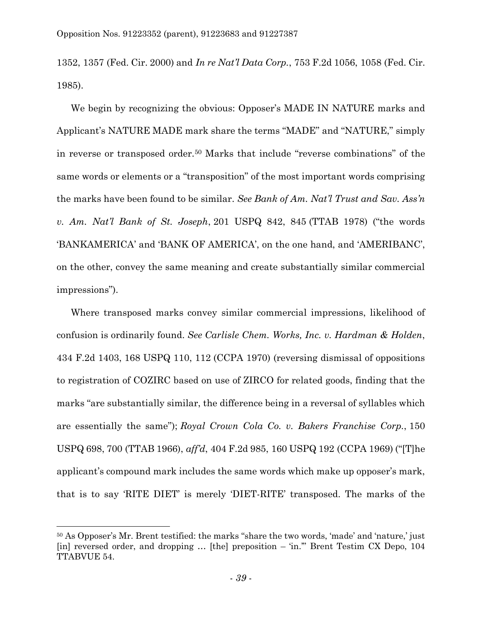1352, 1357 (Fed. Cir. 2000) and *In re Nat'l Data Corp.*, 753 F.2d 1056, 1058 (Fed. Cir. 1985).

We begin by recognizing the obvious: Opposer's MADE IN NATURE marks and Applicant's NATURE MADE mark share the terms "MADE" and "NATURE," simply in reverse or transposed order.<sup>50</sup> Marks that include "reverse combinations" of the same words or elements or a "transposition" of the most important words comprising the marks have been found to be similar. *See Bank of Am. Nat'l Trust and Sav. Ass'n v. Am. Nat'l Bank of St. Joseph*, 201 USPQ 842, 845 (TTAB 1978) ("the words 'BANKAMERICA' and 'BANK OF AMERICA', on the one hand, and 'AMERIBANC', on the other, convey the same meaning and create substantially similar commercial impressions").

Where transposed marks convey similar commercial impressions, likelihood of confusion is ordinarily found. *See Carlisle Chem. Works, Inc. v. Hardman & Holden*, 434 F.2d 1403, 168 USPQ 110, 112 (CCPA 1970) (reversing dismissal of oppositions to registration of COZIRC based on use of ZIRCO for related goods, finding that the marks "are substantially similar, the difference being in a reversal of syllables which are essentially the same"); *Royal Crown Cola Co. v. Bakers Franchise Corp.*, 150 USPQ 698, 700 (TTAB 1966), *aff'd*, 404 F.2d 985, 160 USPQ 192 (CCPA 1969) ("[T]he applicant's compound mark includes the same words which make up opposer's mark, that is to say 'RITE DIET' is merely 'DIET-RITE' transposed. The marks of the

<sup>50</sup> As Opposer's Mr. Brent testified: the marks "share the two words, 'made' and 'nature,' just  $\lceil$ in] reversed order, and dropping ...  $\lceil$ the] preposition – 'in.'" Brent Testim CX Depo, 104 TTABVUE 54.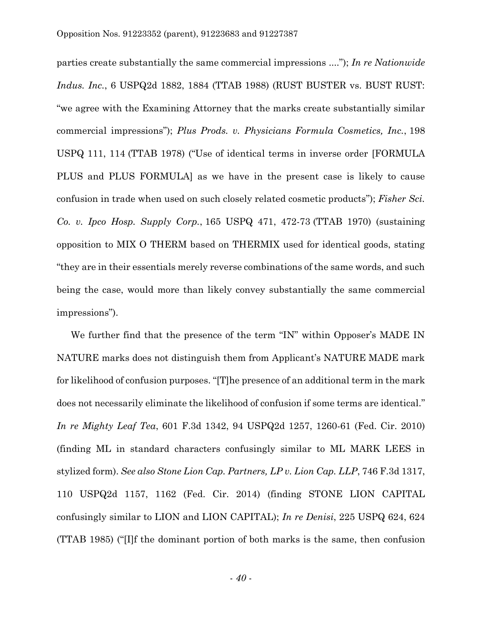parties create substantially the same commercial impressions ...."); *In re Nationwide Indus. Inc.*, 6 USPQ2d 1882, 1884 (TTAB 1988) (RUST BUSTER vs. BUST RUST: "we agree with the Examining Attorney that the marks create substantially similar commercial impressions"); *Plus Prods. v. Physicians Formula Cosmetics, Inc.*, 198 USPQ 111, 114 (TTAB 1978) ("Use of identical terms in inverse order [FORMULA PLUS and PLUS FORMULA] as we have in the present case is likely to cause confusion in trade when used on such closely related cosmetic products"); *Fisher Sci. Co. v. Ipco Hosp. Supply Corp.*, 165 USPQ 471, 472-73 (TTAB 1970) (sustaining opposition to MIX O THERM based on THERMIX used for identical goods, stating "they are in their essentials merely reverse combinations of the same words, and such being the case, would more than likely convey substantially the same commercial impressions").

We further find that the presence of the term "IN" within Opposer's MADE IN NATURE marks does not distinguish them from Applicant's NATURE MADE mark for likelihood of confusion purposes. "[T]he presence of an additional term in the mark does not necessarily eliminate the likelihood of confusion if some terms are identical." *In re Mighty Leaf Tea*, 601 F.3d 1342, 94 USPQ2d 1257, 1260-61 (Fed. Cir. 2010) (finding ML in standard characters confusingly similar to ML MARK LEES in stylized form). *See also Stone Lion Cap. Partners, LP v. Lion Cap. LLP*, 746 F.3d 1317, 110 USPQ2d 1157, 1162 (Fed. Cir. 2014) (finding STONE LION CAPITAL confusingly similar to LION and LION CAPITAL); *In re Denisi*, 225 USPQ 624, 624 (TTAB 1985) ("[I]f the dominant portion of both marks is the same, then confusion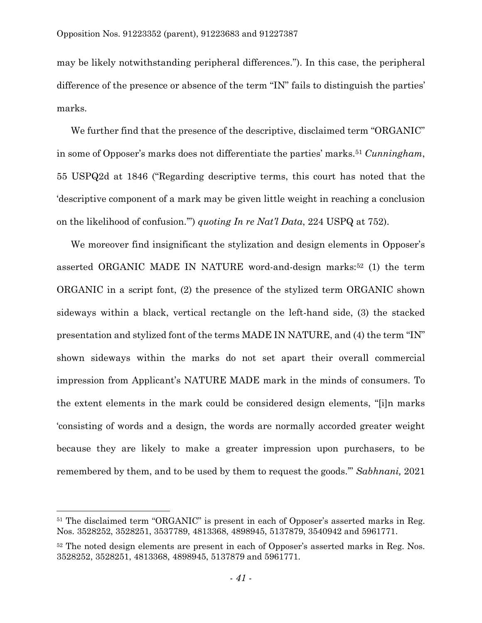may be likely notwithstanding peripheral differences."). In this case, the peripheral difference of the presence or absence of the term "IN" fails to distinguish the parties' marks.

We further find that the presence of the descriptive, disclaimed term "ORGANIC" in some of Opposer's marks does not differentiate the parties' marks.<sup>51</sup> *Cunningham*, 55 USPQ2d at 1846 ("Regarding descriptive terms, this court has noted that the 'descriptive component of a mark may be given little weight in reaching a conclusion on the likelihood of confusion.'") *quoting In re Nat'l Data*, 224 USPQ at 752).

We moreover find insignificant the stylization and design elements in Opposer's asserted ORGANIC MADE IN NATURE word-and-design marks:<sup>52</sup> (1) the term ORGANIC in a script font, (2) the presence of the stylized term ORGANIC shown sideways within a black, vertical rectangle on the left-hand side, (3) the stacked presentation and stylized font of the terms MADE IN NATURE, and (4) the term "IN" shown sideways within the marks do not set apart their overall commercial impression from Applicant's NATURE MADE mark in the minds of consumers. To the extent elements in the mark could be considered design elements, "[i]n marks 'consisting of words and a design, the words are normally accorded greater weight because they are likely to make a greater impression upon purchasers, to be remembered by them, and to be used by them to request the goods.'" *Sabhnani,* 2021

<sup>&</sup>lt;sup>51</sup> The disclaimed term "ORGANIC" is present in each of Opposer's asserted marks in Reg. Nos. 3528252, 3528251, 3537789, 4813368, 4898945, 5137879, 3540942 and 5961771.

<sup>&</sup>lt;sup>52</sup> The noted design elements are present in each of Opposer's asserted marks in Reg. Nos. 3528252, 3528251, 4813368, 4898945, 5137879 and 5961771.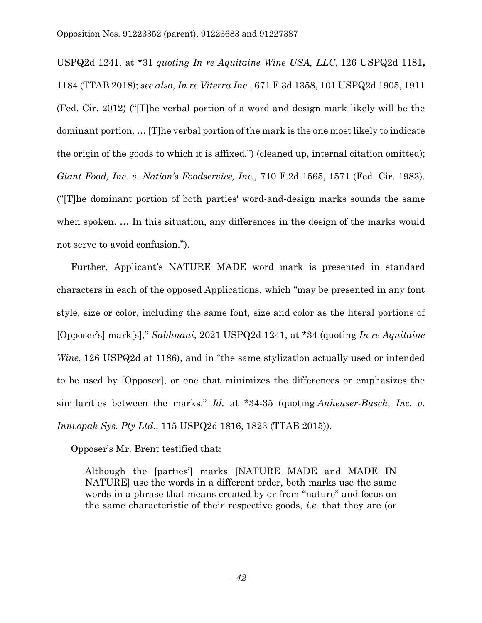USPQ2d 1241, at \*31 *quoting In re Aquitaine Wine USA, LLC*, 126 USPQ2d 1181**,**  1184 (TTAB 2018); *see also*, *In re Viterra Inc.*, 671 F.3d 1358, 101 USPQ2d 1905, 1911 (Fed. Cir. 2012) ("[T]he verbal portion of a word and design mark likely will be the dominant portion. … [T]he verbal portion of the mark is the one most likely to indicate the origin of the goods to which it is affixed.") (cleaned up, internal citation omitted); *Giant Food, Inc. v. Nation's Foodservice, Inc.,* 710 F.2d 1565, 1571 (Fed. Cir. 1983). ("[T]he dominant portion of both parties' word-and-design marks sounds the same when spoken. … In this situation, any differences in the design of the marks would not serve to avoid confusion.").

Further, Applicant's NATURE MADE word mark is presented in standard characters in each of the opposed Applications, which "may be presented in any font style, size or color, including the same font, size and color as the literal portions of [Opposer's] mark[s]," *Sabhnani*, 2021 USPQ2d 1241, at \*34 (quoting *In re Aquitaine Wine*, 126 USPQ2d at 1186), and in "the same stylization actually used or intended to be used by [Opposer], or one that minimizes the differences or emphasizes the similarities between the marks." *Id.* at \*34-35 (quoting *Anheuser-Busch, Inc. v. Innvopak Sys. Pty Ltd.*, 115 USPQ2d 1816, 1823 (TTAB 2015)).

Opposer's Mr. Brent testified that:

Although the [parties'] marks [NATURE MADE and MADE IN NATURE] use the words in a different order, both marks use the same words in a phrase that means created by or from "nature" and focus on the same characteristic of their respective goods, *i.e.* that they are (or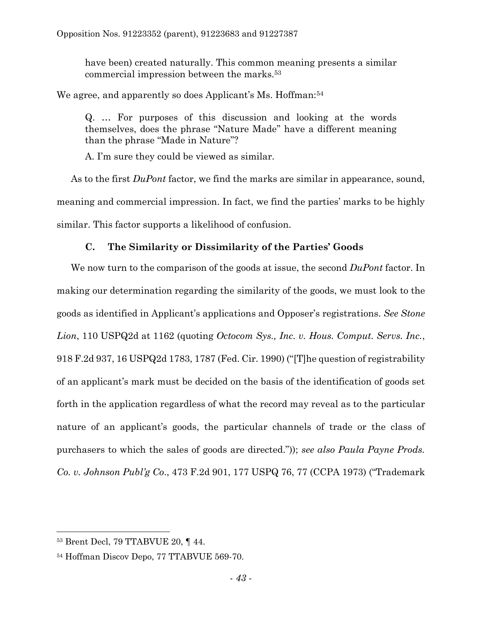have been) created naturally. This common meaning presents a similar commercial impression between the marks.<sup>53</sup>

We agree, and apparently so does Applicant's Ms. Hoffman:<sup>54</sup>

Q. … For purposes of this discussion and looking at the words themselves, does the phrase "Nature Made" have a different meaning than the phrase "Made in Nature"?

A. I'm sure they could be viewed as similar.

As to the first *DuPont* factor, we find the marks are similar in appearance, sound, meaning and commercial impression. In fact, we find the parties' marks to be highly similar. This factor supports a likelihood of confusion.

# **C. The Similarity or Dissimilarity of the Parties' Goods**

We now turn to the comparison of the goods at issue, the second *DuPont* factor. In making our determination regarding the similarity of the goods, we must look to the goods as identified in Applicant's applications and Opposer's registrations. *See Stone Lion*, 110 USPQ2d at 1162 (quoting *Octocom Sys., Inc. v. Hous. Comput. Servs. Inc.*, 918 F.2d 937, 16 USPQ2d 1783, 1787 (Fed. Cir. 1990) ("[T]he question of registrability of an applicant's mark must be decided on the basis of the identification of goods set forth in the application regardless of what the record may reveal as to the particular nature of an applicant's goods, the particular channels of trade or the class of purchasers to which the sales of goods are directed.")); *see also Paula Payne Prods. Co. v. Johnson Publ'g Co*., 473 F.2d 901, 177 USPQ 76, 77 (CCPA 1973) ("Trademark

 $\overline{a}$ <sup>53</sup> Brent Decl, 79 TTABVUE 20, ¶ 44.

<sup>54</sup> Hoffman Discov Depo, 77 TTABVUE 569-70.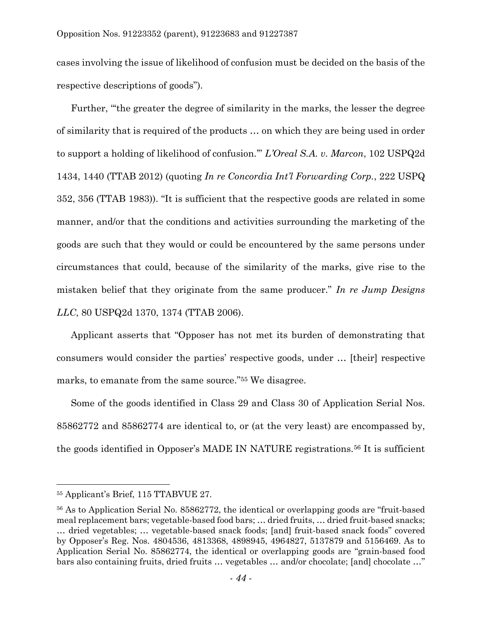cases involving the issue of likelihood of confusion must be decided on the basis of the respective descriptions of goods").

Further, "'the greater the degree of similarity in the marks, the lesser the degree of similarity that is required of the products … on which they are being used in order to support a holding of likelihood of confusion.'" *L'Oreal S.A. v. Marcon*, 102 USPQ2d 1434, 1440 (TTAB 2012) (quoting *In re Concordia Int'l Forwarding Corp.*, 222 USPQ 352, 356 (TTAB 1983)). "It is sufficient that the respective goods are related in some manner, and/or that the conditions and activities surrounding the marketing of the goods are such that they would or could be encountered by the same persons under circumstances that could, because of the similarity of the marks, give rise to the mistaken belief that they originate from the same producer." *In re Jump Designs LLC*, 80 USPQ2d 1370, 1374 (TTAB 2006).

Applicant asserts that "Opposer has not met its burden of demonstrating that consumers would consider the parties' respective goods, under … [their] respective marks, to emanate from the same source." <sup>55</sup> We disagree.

Some of the goods identified in Class 29 and Class 30 of Application Serial Nos. 85862772 and 85862774 are identical to, or (at the very least) are encompassed by, the goods identified in Opposer's MADE IN NATURE registrations.<sup>56</sup> It is sufficient

<sup>55</sup> Applicant's Brief, 115 TTABVUE 27.

<sup>56</sup> As to Application Serial No. 85862772, the identical or overlapping goods are "fruit-based meal replacement bars; vegetable-based food bars; … dried fruits, … dried fruit-based snacks; … dried vegetables; … vegetable-based snack foods; [and] fruit-based snack foods" covered by Opposer's Reg. Nos. 4804536, 4813368, 4898945, 4964827, 5137879 and 5156469. As to Application Serial No. 85862774, the identical or overlapping goods are "grain-based food bars also containing fruits, dried fruits … vegetables … and/or chocolate; [and] chocolate …"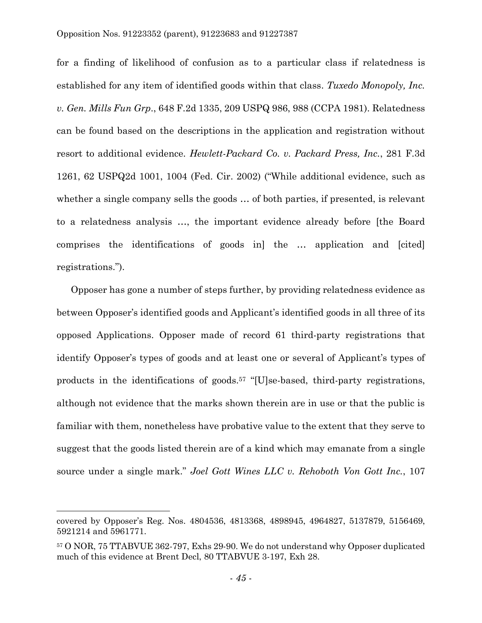for a finding of likelihood of confusion as to a particular class if relatedness is established for any item of identified goods within that class. *Tuxedo Monopoly, Inc. v. Gen. Mills Fun Grp*., 648 F.2d 1335, 209 USPQ 986, 988 (CCPA 1981). Relatedness can be found based on the descriptions in the application and registration without resort to additional evidence. *Hewlett-Packard Co. v. Packard Press, Inc.*, 281 F.3d 1261, 62 USPQ2d 1001, 1004 (Fed. Cir. 2002) ("While additional evidence, such as whether a single company sells the goods … of both parties, if presented, is relevant to a relatedness analysis …, the important evidence already before [the Board comprises the identifications of goods in] the … application and [cited] registrations.").

Opposer has gone a number of steps further, by providing relatedness evidence as between Opposer's identified goods and Applicant's identified goods in all three of its opposed Applications. Opposer made of record 61 third-party registrations that identify Opposer's types of goods and at least one or several of Applicant's types of products in the identifications of goods.<sup>57</sup> "[U]se-based, third-party registrations, although not evidence that the marks shown therein are in use or that the public is familiar with them, nonetheless have probative value to the extent that they serve to suggest that the goods listed therein are of a kind which may emanate from a single source under a single mark." *Joel Gott Wines LLC v. Rehoboth Von Gott Inc.*, 107

covered by Opposer's Reg. Nos. 4804536, 4813368, 4898945, 4964827, 5137879, 5156469, 5921214 and 5961771.

<sup>57</sup> O NOR, 75 TTABVUE 362-797, Exhs 29-90. We do not understand why Opposer duplicated much of this evidence at Brent Decl, 80 TTABVUE 3-197, Exh 28.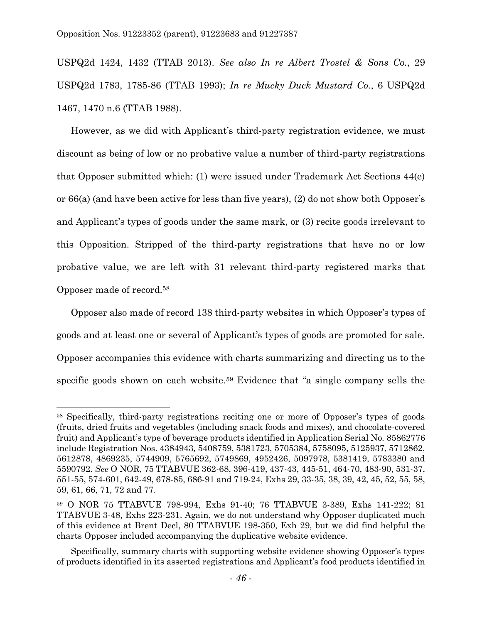USPQ2d 1424, 1432 (TTAB 2013). *See also In re Albert Trostel & Sons Co.*, 29 USPQ2d 1783, 1785-86 (TTAB 1993); *In re Mucky Duck Mustard Co.*, 6 USPQ2d 1467, 1470 n.6 (TTAB 1988).

However, as we did with Applicant's third-party registration evidence, we must discount as being of low or no probative value a number of third-party registrations that Opposer submitted which: (1) were issued under Trademark Act Sections 44(e) or 66(a) (and have been active for less than five years), (2) do not show both Opposer's and Applicant's types of goods under the same mark, or (3) recite goods irrelevant to this Opposition. Stripped of the third-party registrations that have no or low probative value, we are left with 31 relevant third-party registered marks that Opposer made of record.<sup>58</sup>

Opposer also made of record 138 third-party websites in which Opposer's types of goods and at least one or several of Applicant's types of goods are promoted for sale. Opposer accompanies this evidence with charts summarizing and directing us to the specific goods shown on each website. <sup>59</sup> Evidence that "a single company sells the

<sup>58</sup> Specifically, third-party registrations reciting one or more of Opposer's types of goods (fruits, dried fruits and vegetables (including snack foods and mixes), and chocolate-covered fruit) and Applicant's type of beverage products identified in Application Serial No. 85862776 include Registration Nos. 4384943, 5408759, 5381723, 5705384, 5758095, 5125937, 5712862, 5612878, 4869235, 5744909, 5765692, 5749869, 4952426, 5097978, 5381419, 5783380 and 5590792. *See* O NOR, 75 TTABVUE 362-68, 396-419, 437-43, 445-51, 464-70, 483-90, 531-37, 551-55, 574-601, 642-49, 678-85, 686-91 and 719-24, Exhs 29, 33-35, 38, 39, 42, 45, 52, 55, 58, 59, 61, 66, 71, 72 and 77.

<sup>59</sup> O NOR 75 TTABVUE 798-994, Exhs 91-40; 76 TTABVUE 3-389, Exhs 141-222; 81 TTABVUE 3-48, Exhs 223-231. Again, we do not understand why Opposer duplicated much of this evidence at Brent Decl, 80 TTABVUE 198-350, Exh 29, but we did find helpful the charts Opposer included accompanying the duplicative website evidence.

Specifically, summary charts with supporting website evidence showing Opposer's types of products identified in its asserted registrations and Applicant's food products identified in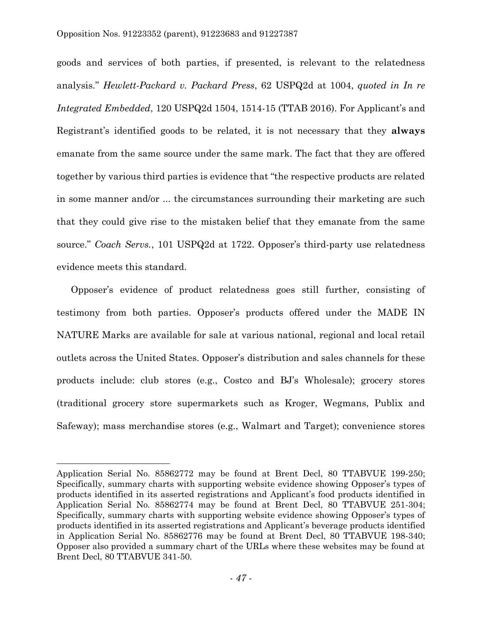goods and services of both parties, if presented, is relevant to the relatedness analysis." *Hewlett-Packard v. Packard Press*, 62 USPQ2d at 1004, *quoted in In re Integrated Embedded*, 120 USPQ2d 1504, 1514-15 (TTAB 2016). For Applicant's and Registrant's identified goods to be related, it is not necessary that they **always**  emanate from the same source under the same mark. The fact that they are offered together by various third parties is evidence that "the respective products are related in some manner and/or ... the circumstances surrounding their marketing are such that they could give rise to the mistaken belief that they emanate from the same source." *Coach Servs.*, 101 USPQ2d at 1722. Opposer's third-party use relatedness evidence meets this standard.

Opposer's evidence of product relatedness goes still further, consisting of testimony from both parties. Opposer's products offered under the MADE IN NATURE Marks are available for sale at various national, regional and local retail outlets across the United States. Opposer's distribution and sales channels for these products include: club stores (e.g., Costco and BJ's Wholesale); grocery stores (traditional grocery store supermarkets such as Kroger, Wegmans, Publix and Safeway); mass merchandise stores (e.g., Walmart and Target); convenience stores

Application Serial No. 85862772 may be found at Brent Decl, 80 TTABVUE 199-250; Specifically, summary charts with supporting website evidence showing Opposer's types of products identified in its asserted registrations and Applicant's food products identified in Application Serial No. 85862774 may be found at Brent Decl, 80 TTABVUE 251-304; Specifically, summary charts with supporting website evidence showing Opposer's types of products identified in its asserted registrations and Applicant's beverage products identified in Application Serial No. 85862776 may be found at Brent Decl, 80 TTABVUE 198-340; Opposer also provided a summary chart of the URLs where these websites may be found at Brent Decl, 80 TTABVUE 341-50.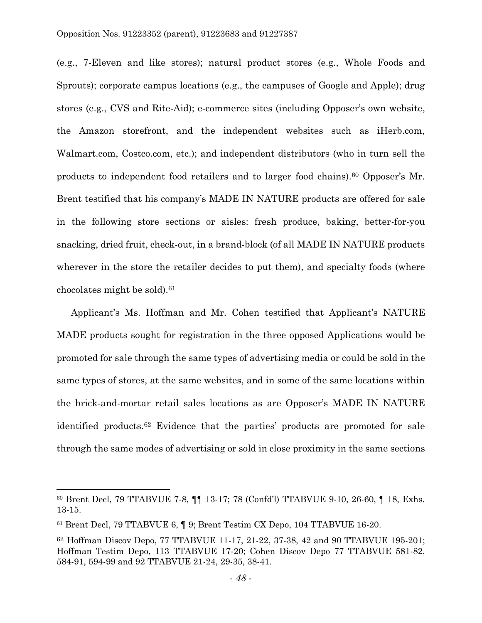(e.g., 7-Eleven and like stores); natural product stores (e.g., Whole Foods and Sprouts); corporate campus locations (e.g., the campuses of Google and Apple); drug stores (e.g., CVS and Rite-Aid); e-commerce sites (including Opposer's own website, the Amazon storefront, and the independent websites such as iHerb.com, Walmart.com, Costco.com, etc.); and independent distributors (who in turn sell the products to independent food retailers and to larger food chains).<sup>60</sup> Opposer's Mr. Brent testified that his company's MADE IN NATURE products are offered for sale in the following store sections or aisles: fresh produce, baking, better-for-you snacking, dried fruit, check-out, in a brand-block (of all MADE IN NATURE products wherever in the store the retailer decides to put them), and specialty foods (where chocolates might be sold). 61

Applicant's Ms. Hoffman and Mr. Cohen testified that Applicant's NATURE MADE products sought for registration in the three opposed Applications would be promoted for sale through the same types of advertising media or could be sold in the same types of stores, at the same websites, and in some of the same locations within the brick-and-mortar retail sales locations as are Opposer's MADE IN NATURE identified products. <sup>62</sup> Evidence that the parties' products are promoted for sale through the same modes of advertising or sold in close proximity in the same sections

 $\overline{a}$ 

<sup>60</sup> Brent Decl, 79 TTABVUE 7-8, ¶¶ 13-17; 78 (Confd'l) TTABVUE 9-10, 26-60, ¶ 18, Exhs. 13-15.

<sup>61</sup> Brent Decl, 79 TTABVUE 6, ¶ 9; Brent Testim CX Depo, 104 TTABVUE 16-20.

<sup>62</sup> Hoffman Discov Depo, 77 TTABVUE 11-17, 21-22, 37-38, 42 and 90 TTABVUE 195-201; Hoffman Testim Depo, 113 TTABVUE 17-20; Cohen Discov Depo 77 TTABVUE 581-82, 584-91, 594-99 and 92 TTABVUE 21-24, 29-35, 38-41.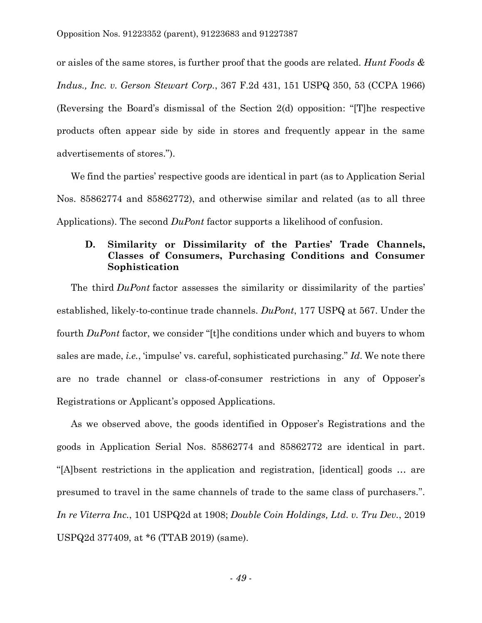or aisles of the same stores, is further proof that the goods are related. *Hunt Foods & Indus., Inc. v. Gerson Stewart Corp.*, 367 F.2d 431, 151 USPQ 350, 53 (CCPA 1966) (Reversing the Board's dismissal of the Section 2(d) opposition: "[T]he respective products often appear side by side in stores and frequently appear in the same advertisements of stores.").

We find the parties' respective goods are identical in part (as to Application Serial Nos. 85862774 and 85862772), and otherwise similar and related (as to all three Applications). The second *DuPont* factor supports a likelihood of confusion.

## **D. Similarity or Dissimilarity of the Parties' Trade Channels, Classes of Consumers, Purchasing Conditions and Consumer Sophistication**

The third *DuPont* factor assesses the similarity or dissimilarity of the parties' established, likely-to-continue trade channels. *DuPont*, 177 USPQ at 567. Under the fourth *DuPont* factor, we consider "[t]he conditions under which and buyers to whom sales are made, *i.e.*, 'impulse' vs. careful, sophisticated purchasing." *Id*. We note there are no trade channel or class-of-consumer restrictions in any of Opposer's Registrations or Applicant's opposed Applications.

As we observed above, the goods identified in Opposer's Registrations and the goods in Application Serial Nos. 85862774 and 85862772 are identical in part. "[A]bsent restrictions in the application and registration, [identical] goods … are presumed to travel in the same channels of trade to the same class of purchasers.". *In re Viterra Inc.*, 101 USPQ2d at 1908; *Double Coin Holdings, Ltd. v. Tru Dev.*, 2019 USPQ2d 377409, at \*6 (TTAB 2019) (same).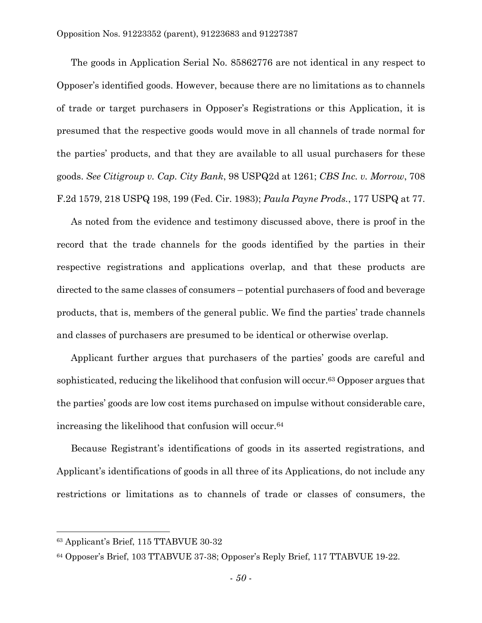The goods in Application Serial No. 85862776 are not identical in any respect to Opposer's identified goods. However, because there are no limitations as to channels of trade or target purchasers in Opposer's Registrations or this Application, it is presumed that the respective goods would move in all channels of trade normal for the parties' products, and that they are available to all usual purchasers for these goods. *See Citigroup v. Cap. City Bank*, 98 USPQ2d at 1261; *CBS Inc. v. Morrow*, 708 F.2d 1579, 218 USPQ 198, 199 (Fed. Cir. 1983); *Paula Payne Prods.*, 177 USPQ at 77.

As noted from the evidence and testimony discussed above, there is proof in the record that the trade channels for the goods identified by the parties in their respective registrations and applications overlap, and that these products are directed to the same classes of consumers – potential purchasers of food and beverage products, that is, members of the general public. We find the parties' trade channels and classes of purchasers are presumed to be identical or otherwise overlap.

Applicant further argues that purchasers of the parties' goods are careful and sophisticated, reducing the likelihood that confusion will occur. <sup>63</sup> Opposer argues that the parties' goods are low cost items purchased on impulse without considerable care, increasing the likelihood that confusion will occur. 64

Because Registrant's identifications of goods in its asserted registrations, and Applicant's identifications of goods in all three of its Applications, do not include any restrictions or limitations as to channels of trade or classes of consumers, the

 $\overline{a}$ 

<sup>63</sup> Applicant's Brief, 115 TTABVUE 30-32

<sup>64</sup> Opposer's Brief, 103 TTABVUE 37-38; Opposer's Reply Brief, 117 TTABVUE 19-22.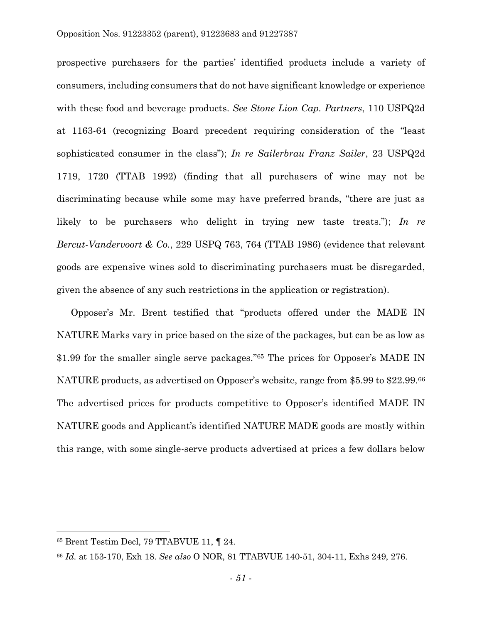prospective purchasers for the parties' identified products include a variety of consumers, including consumers that do not have significant knowledge or experience with these food and beverage products. *See Stone Lion Cap. Partners*, 110 USPQ2d at 1163-64 (recognizing Board precedent requiring consideration of the "least sophisticated consumer in the class"); *In re Sailerbrau Franz Sailer*, 23 USPQ2d 1719, 1720 (TTAB 1992) (finding that all purchasers of wine may not be discriminating because while some may have preferred brands, "there are just as likely to be purchasers who delight in trying new taste treats."); *In re Bercut-Vandervoort & Co.*, 229 USPQ 763, 764 (TTAB 1986) (evidence that relevant goods are expensive wines sold to discriminating purchasers must be disregarded, given the absence of any such restrictions in the application or registration).

Opposer's Mr. Brent testified that "products offered under the MADE IN NATURE Marks vary in price based on the size of the packages, but can be as low as \$1.99 for the smaller single serve packages."<sup>65</sup> The prices for Opposer's MADE IN NATURE products, as advertised on Opposer's website, range from \$5.99 to \$22.99.<sup>66</sup> The advertised prices for products competitive to Opposer's identified MADE IN NATURE goods and Applicant's identified NATURE MADE goods are mostly within this range, with some single-serve products advertised at prices a few dollars below

 $\overline{a}$ 

<sup>65</sup> Brent Testim Decl, 79 TTABVUE 11, ¶ 24.

<sup>66</sup> *Id.* at 153-170, Exh 18. *See also* O NOR, 81 TTABVUE 140-51, 304-11, Exhs 249, 276.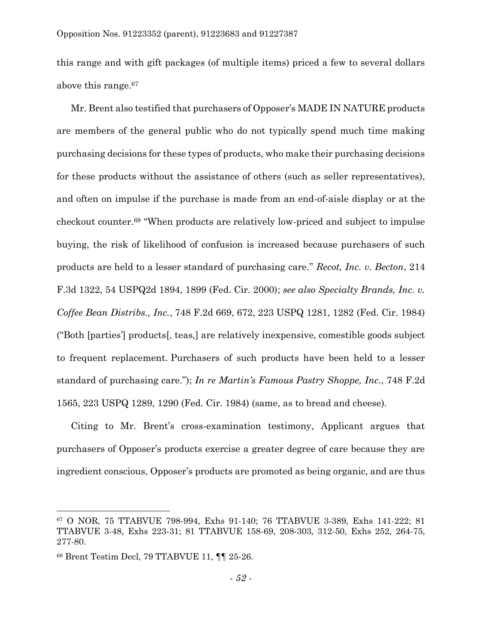this range and with gift packages (of multiple items) priced a few to several dollars above this range.<sup>67</sup>

Mr. Brent also testified that purchasers of Opposer's MADE IN NATURE products are members of the general public who do not typically spend much time making purchasing decisions for these types of products, who make their purchasing decisions for these products without the assistance of others (such as seller representatives), and often on impulse if the purchase is made from an end-of-aisle display or at the checkout counter.<sup>68</sup> "When products are relatively low-priced and subject to impulse buying, the risk of likelihood of confusion is increased because purchasers of such products are held to a lesser standard of purchasing care." *Recot, Inc. v. Becton*, 214 F.3d 1322, 54 USPQ2d 1894, 1899 (Fed. Cir. 2000); *see also Specialty Brands, Inc. v. Coffee Bean Distribs., Inc.*, 748 F.2d 669, 672, 223 USPQ 1281, 1282 (Fed. Cir. 1984) ("Both [parties'] products[, teas,] are relatively inexpensive, comestible goods subject to frequent replacement. Purchasers of such products have been held to a lesser standard of purchasing care."); *In re Martin's Famous Pastry Shoppe, Inc.*, 748 F.2d 1565, 223 USPQ 1289, 1290 (Fed. Cir. 1984) (same, as to bread and cheese).

Citing to Mr. Brent's cross-examination testimony, Applicant argues that purchasers of Opposer's products exercise a greater degree of care because they are ingredient conscious, Opposer's products are promoted as being organic, and are thus

<sup>67</sup> O NOR, 75 TTABVUE 798-994, Exhs 91-140; 76 TTABVUE 3-389, Exhs 141-222; 81 TTABVUE 3-48, Exhs 223-31; 81 TTABVUE 158-69, 208-303, 312-50, Exhs 252, 264-75, 277-80.

<sup>68</sup> Brent Testim Decl, 79 TTABVUE 11, ¶¶ 25-26.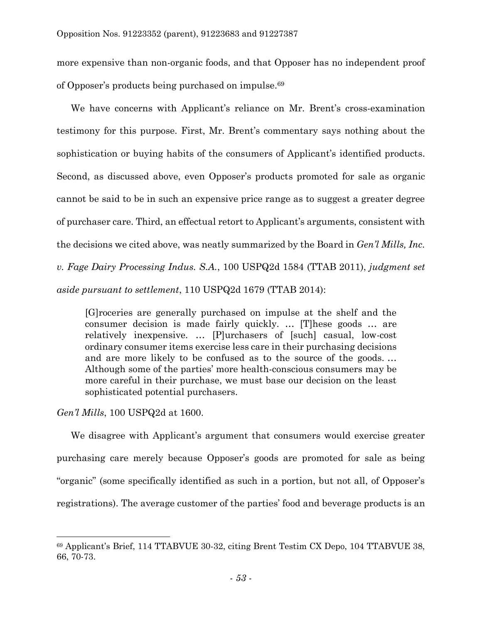more expensive than non-organic foods, and that Opposer has no independent proof of Opposer's products being purchased on impulse.<sup>69</sup>

We have concerns with Applicant's reliance on Mr. Brent's cross-examination testimony for this purpose. First, Mr. Brent's commentary says nothing about the sophistication or buying habits of the consumers of Applicant's identified products. Second, as discussed above, even Opposer's products promoted for sale as organic cannot be said to be in such an expensive price range as to suggest a greater degree of purchaser care. Third, an effectual retort to Applicant's arguments, consistent with the decisions we cited above, was neatly summarized by the Board in *Gen'l Mills, Inc. v. Fage Dairy Processing Indus. S.A.*, 100 USPQ2d 1584 (TTAB 2011), *judgment set aside pursuant to settlement*, 110 USPQ2d 1679 (TTAB 2014):

[G]roceries are generally purchased on impulse at the shelf and the consumer decision is made fairly quickly. … [T]hese goods … are relatively inexpensive. … [P]urchasers of [such] casual, low-cost ordinary consumer items exercise less care in their purchasing decisions and are more likely to be confused as to the source of the goods. *…*  Although some of the parties' more health-conscious consumers may be more careful in their purchase, we must base our decision on the least sophisticated potential purchasers.

*Gen'l Mills*, 100 USPQ2d at 1600.

 $\overline{a}$ 

We disagree with Applicant's argument that consumers would exercise greater purchasing care merely because Opposer's goods are promoted for sale as being "organic" (some specifically identified as such in a portion, but not all, of Opposer's registrations). The average customer of the parties' food and beverage products is an

<sup>69</sup> Applicant's Brief, 114 TTABVUE 30-32, citing Brent Testim CX Depo, 104 TTABVUE 38, 66, 70-73.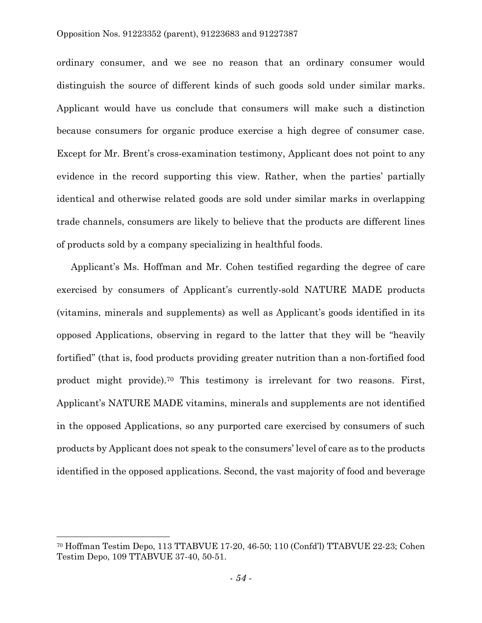#### Opposition Nos. 91223352 (parent), 91223683 and 91227387

ordinary consumer, and we see no reason that an ordinary consumer would distinguish the source of different kinds of such goods sold under similar marks. Applicant would have us conclude that consumers will make such a distinction because consumers for organic produce exercise a high degree of consumer case. Except for Mr. Brent's cross-examination testimony, Applicant does not point to any evidence in the record supporting this view. Rather, when the parties' partially identical and otherwise related goods are sold under similar marks in overlapping trade channels, consumers are likely to believe that the products are different lines of products sold by a company specializing in healthful foods.

Applicant's Ms. Hoffman and Mr. Cohen testified regarding the degree of care exercised by consumers of Applicant's currently-sold NATURE MADE products (vitamins, minerals and supplements) as well as Applicant's goods identified in its opposed Applications, observing in regard to the latter that they will be "heavily fortified" (that is, food products providing greater nutrition than a non-fortified food product might provide).<sup>70</sup> This testimony is irrelevant for two reasons. First, Applicant's NATURE MADE vitamins, minerals and supplements are not identified in the opposed Applications, so any purported care exercised by consumers of such products by Applicant does not speak to the consumers' level of care as to the products identified in the opposed applications. Second, the vast majority of food and beverage

 $\overline{a}$ 

<sup>70</sup> Hoffman Testim Depo, 113 TTABVUE 17-20, 46-50; 110 (Confd'l) TTABVUE 22-23; Cohen Testim Depo, 109 TTABVUE 37-40, 50-51.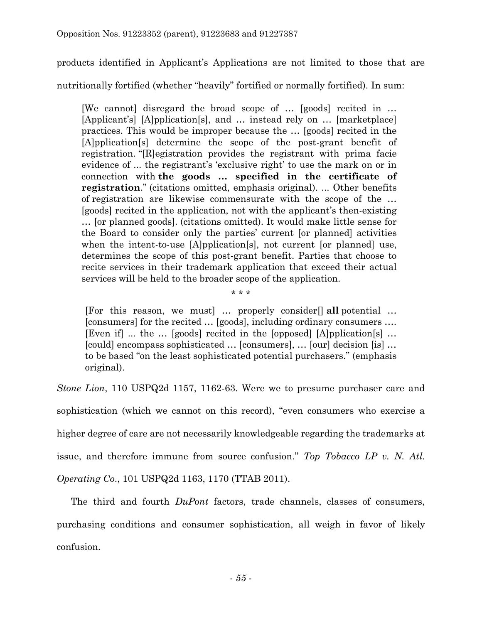products identified in Applicant's Applications are not limited to those that are nutritionally fortified (whether "heavily" fortified or normally fortified). In sum:

[We cannot] disregard the broad scope of … [goods] recited in … [Applicant's] [A]pplication[s], and … instead rely on … [marketplace] practices. This would be improper because the … [goods] recited in the [A]pplication[s] determine the scope of the post-grant benefit of registration. "[R]egistration provides the registrant with prima facie evidence of ... the registrant's 'exclusive right' to use the mark on or in connection with **the goods … specified in the certificate of registration***.*" (citations omitted, emphasis original). ... Other benefits of registration are likewise commensurate with the scope of the … [goods] recited in the application, not with the applicant's then-existing … [or planned goods]. (citations omitted). It would make little sense for the Board to consider only the parties' current [or planned] activities when the intent-to-use [A]pplication[s], not current [or planned] use, determines the scope of this post-grant benefit. Parties that choose to recite services in their trademark application that exceed their actual services will be held to the broader scope of the application.

[For this reason, we must] … properly consider[] **all** potential … [consumers] for the recited … [goods], including ordinary consumers …. [Even if] ... the … [goods] recited in the [opposed] [A]pplication[s] … [could] encompass sophisticated … [consumers], … [our] decision [is] … to be based "on the least sophisticated potential purchasers." (emphasis original).

\* \* \*

*Stone Lion*, 110 USPQ2d 1157, 1162-63. Were we to presume purchaser care and sophistication (which we cannot on this record), "even consumers who exercise a higher degree of care are not necessarily knowledgeable regarding the trademarks at issue, and therefore immune from source confusion." *Top Tobacco LP v. N. Atl. Operating Co*., 101 USPQ2d 1163, 1170 (TTAB 2011).

The third and fourth *DuPont* factors, trade channels, classes of consumers, purchasing conditions and consumer sophistication, all weigh in favor of likely confusion.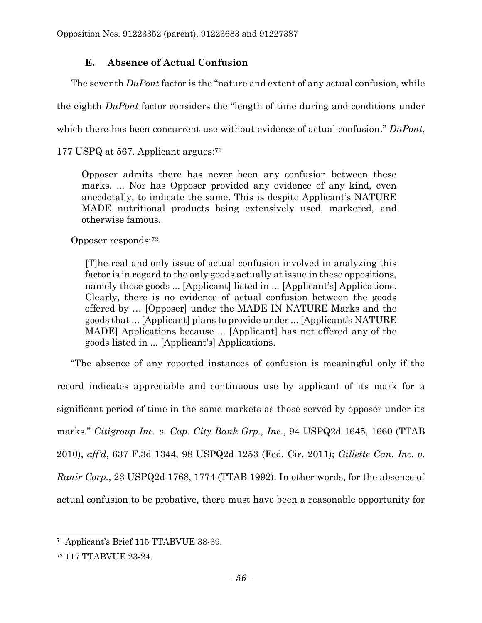# **E. Absence of Actual Confusion**

The seventh *DuPont* factor is the "nature and extent of any actual confusion, while

the eighth *DuPont* factor considers the "length of time during and conditions under

which there has been concurrent use without evidence of actual confusion." *DuPont*,

177 USPQ at 567. Applicant argues:<sup>71</sup>

Opposer admits there has never been any confusion between these marks. ... Nor has Opposer provided any evidence of any kind, even anecdotally, to indicate the same. This is despite Applicant's NATURE MADE nutritional products being extensively used, marketed, and otherwise famous.

Opposer responds:<sup>72</sup>

[T]he real and only issue of actual confusion involved in analyzing this factor is in regard to the only goods actually at issue in these oppositions, namely those goods ... [Applicant] listed in ... [Applicant's] Applications. Clearly, there is no evidence of actual confusion between the goods offered by … [Opposer] under the MADE IN NATURE Marks and the goods that ... [Applicant] plans to provide under ... [Applicant's NATURE MADE] Applications because ... [Applicant] has not offered any of the goods listed in ... [Applicant's] Applications.

"The absence of any reported instances of confusion is meaningful only if the record indicates appreciable and continuous use by applicant of its mark for a significant period of time in the same markets as those served by opposer under its marks." *Citigroup Inc. v. Cap. City Bank Grp., Inc*., 94 USPQ2d 1645, 1660 (TTAB 2010), *aff'd*, 637 F.3d 1344, 98 USPQ2d 1253 (Fed. Cir. 2011); *Gillette Can. Inc. v. Ranir Corp.*, 23 USPQ2d 1768, 1774 (TTAB 1992). In other words, for the absence of actual confusion to be probative, there must have been a reasonable opportunity for

 $\overline{a}$ <sup>71</sup> Applicant's Brief 115 TTABVUE 38-39.

<sup>72</sup> 117 TTABVUE 23-24.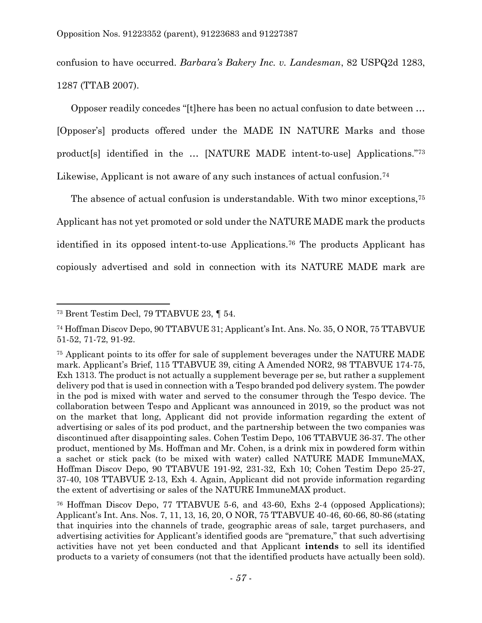confusion to have occurred. *Barbara's Bakery Inc. v. Landesman*, 82 USPQ2d 1283, 1287 (TTAB 2007).

Opposer readily concedes "[t]here has been no actual confusion to date between …

[Opposer's] products offered under the MADE IN NATURE Marks and those product[s] identified in the … [NATURE MADE intent-to-use] Applications."<sup>73</sup> Likewise, Applicant is not aware of any such instances of actual confusion.<sup>74</sup>

The absence of actual confusion is understandable. With two minor exceptions, 75 Applicant has not yet promoted or sold under the NATURE MADE mark the products identified in its opposed intent-to-use Applications.<sup>76</sup> The products Applicant has copiously advertised and sold in connection with its NATURE MADE mark are

<sup>73</sup> Brent Testim Decl, 79 TTABVUE 23, ¶ 54.

<sup>74</sup> Hoffman Discov Depo, 90 TTABVUE 31; Applicant's Int. Ans. No. 35, O NOR, 75 TTABVUE 51-52, 71-72, 91-92.

<sup>75</sup> Applicant points to its offer for sale of supplement beverages under the NATURE MADE mark. Applicant's Brief, 115 TTABVUE 39, citing A Amended NOR2, 98 TTABVUE 174-75, Exh 1313. The product is not actually a supplement beverage per se, but rather a supplement delivery pod that is used in connection with a Tespo branded pod delivery system. The powder in the pod is mixed with water and served to the consumer through the Tespo device. The collaboration between Tespo and Applicant was announced in 2019, so the product was not on the market that long, Applicant did not provide information regarding the extent of advertising or sales of its pod product, and the partnership between the two companies was discontinued after disappointing sales. Cohen Testim Depo, 106 TTABVUE 36-37. The other product, mentioned by Ms. Hoffman and Mr. Cohen, is a drink mix in powdered form within a sachet or stick pack (to be mixed with water) called NATURE MADE ImmuneMAX, Hoffman Discov Depo, 90 TTABVUE 191-92, 231-32, Exh 10; Cohen Testim Depo 25-27, 37-40, 108 TTABVUE 2-13, Exh 4. Again, Applicant did not provide information regarding the extent of advertising or sales of the NATURE ImmuneMAX product.

<sup>76</sup> Hoffman Discov Depo, 77 TTABVUE 5-6, and 43-60, Exhs 2-4 (opposed Applications); Applicant's Int. Ans. Nos. 7, 11, 13, 16, 20, O NOR, 75 TTABVUE 40-46, 60-66, 80-86 (stating that inquiries into the channels of trade, geographic areas of sale, target purchasers, and advertising activities for Applicant's identified goods are "premature," that such advertising activities have not yet been conducted and that Applicant **intends** to sell its identified products to a variety of consumers (not that the identified products have actually been sold).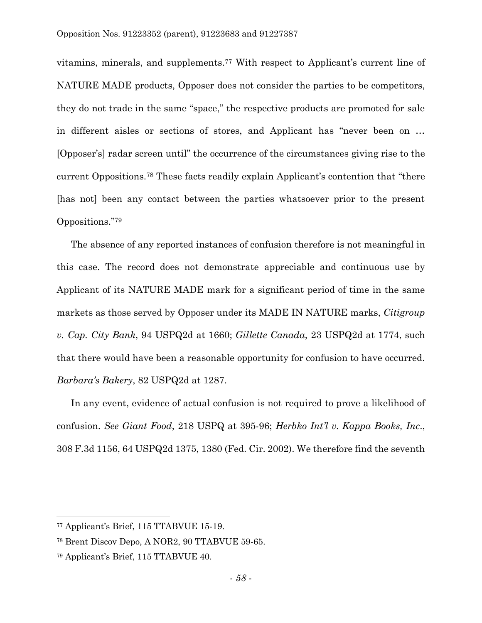vitamins, minerals, and supplements. <sup>77</sup> With respect to Applicant's current line of NATURE MADE products, Opposer does not consider the parties to be competitors, they do not trade in the same "space," the respective products are promoted for sale in different aisles or sections of stores, and Applicant has "never been on … [Opposer's] radar screen until" the occurrence of the circumstances giving rise to the current Oppositions. <sup>78</sup> These facts readily explain Applicant's contention that "there [has not] been any contact between the parties whatsoever prior to the present Oppositions." 79

The absence of any reported instances of confusion therefore is not meaningful in this case. The record does not demonstrate appreciable and continuous use by Applicant of its NATURE MADE mark for a significant period of time in the same markets as those served by Opposer under its MADE IN NATURE marks, *Citigroup v. Cap. City Bank*, 94 USPQ2d at 1660; *Gillette Canada*, 23 USPQ2d at 1774, such that there would have been a reasonable opportunity for confusion to have occurred. *Barbara's Bakery*, 82 USPQ2d at 1287.

In any event, evidence of actual confusion is not required to prove a likelihood of confusion. *See Giant Food*, 218 USPQ at 395-96; *Herbko Int'l v. Kappa Books, Inc*., 308 F.3d 1156, 64 USPQ2d 1375, 1380 (Fed. Cir. 2002). We therefore find the seventh

<sup>77</sup> Applicant's Brief, 115 TTABVUE 15-19.

<sup>78</sup> Brent Discov Depo, A NOR2, 90 TTABVUE 59-65.

<sup>79</sup> Applicant's Brief, 115 TTABVUE 40.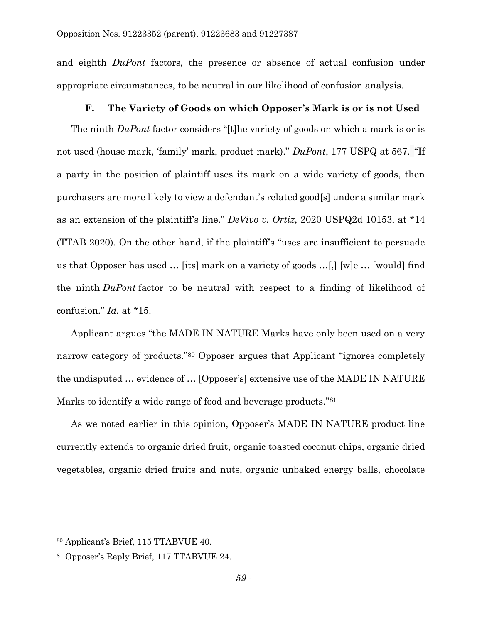and eighth *DuPont* factors, the presence or absence of actual confusion under appropriate circumstances, to be neutral in our likelihood of confusion analysis.

## **F. The Variety of Goods on which Opposer's Mark is or is not Used**

The ninth *DuPont* factor considers "[t]he variety of goods on which a mark is or is not used (house mark, 'family' mark, product mark)." *DuPont*, 177 USPQ at 567. "If a party in the position of plaintiff uses its mark on a wide variety of goods, then purchasers are more likely to view a defendant's related good[s] under a similar mark as an extension of the plaintiff's line." *DeVivo v. Ortiz*, 2020 USPQ2d 10153, at \*14 (TTAB 2020). On the other hand, if the plaintiff's "uses are insufficient to persuade us that Opposer has used … [its] mark on a variety of goods …[,] [w]e … [would] find the ninth *DuPont* factor to be neutral with respect to a finding of likelihood of confusion." *Id.* at \*15.

Applicant argues "the MADE IN NATURE Marks have only been used on a very narrow category of products."<sup>80</sup> Opposer argues that Applicant "ignores completely the undisputed … evidence of … [Opposer's] extensive use of the MADE IN NATURE Marks to identify a wide range of food and beverage products."<sup>81</sup>

As we noted earlier in this opinion, Opposer's MADE IN NATURE product line currently extends to organic dried fruit, organic toasted coconut chips, organic dried vegetables, organic dried fruits and nuts, organic unbaked energy balls, chocolate

 $\overline{a}$ 

<sup>80</sup> Applicant's Brief, 115 TTABVUE 40.

<sup>81</sup> Opposer's Reply Brief, 117 TTABVUE 24.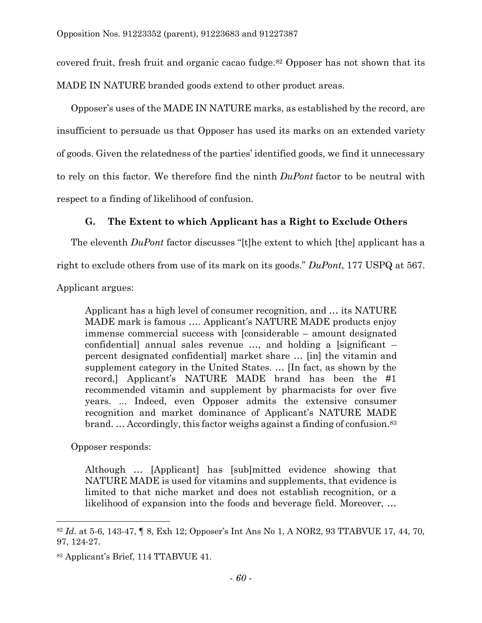covered fruit, fresh fruit and organic cacao fudge. <sup>82</sup> Opposer has not shown that its MADE IN NATURE branded goods extend to other product areas.

Opposer's uses of the MADE IN NATURE marks, as established by the record, are insufficient to persuade us that Opposer has used its marks on an extended variety of goods. Given the relatedness of the parties' identified goods, we find it unnecessary to rely on this factor. We therefore find the ninth *DuPont* factor to be neutral with respect to a finding of likelihood of confusion.

# **G. The Extent to which Applicant has a Right to Exclude Others**

The eleventh *DuPont* factor discusses "[t]he extent to which [the] applicant has a

right to exclude others from use of its mark on its goods." *DuPont*, 177 USPQ at 567.

Applicant argues:

Applicant has a high level of consumer recognition, and … its NATURE MADE mark is famous …. Applicant's NATURE MADE products enjoy immense commercial success with [considerable – amount designated confidential] annual sales revenue …, and holding a [significant – percent designated confidential] market share … [in] the vitamin and supplement category in the United States. … [In fact, as shown by the record,] Applicant's NATURE MADE brand has been the #1 recommended vitamin and supplement by pharmacists for over five years. ... Indeed, even Opposer admits the extensive consumer recognition and market dominance of Applicant's NATURE MADE brand. … Accordingly, this factor weighs against a finding of confusion.<sup>83</sup>

Opposer responds:

l

Although … [Applicant] has [sub]mitted evidence showing that NATURE MADE is used for vitamins and supplements, that evidence is limited to that niche market and does not establish recognition, or a likelihood of expansion into the foods and beverage field. Moreover, …

<sup>82</sup> *Id.* at 5-6, 143-47, ¶ 8, Exh 12; Opposer's Int Ans No 1, A NOR2, 93 TTABVUE 17, 44, 70, 97, 124-27.

<sup>83</sup> Applicant's Brief, 114 TTABVUE 41.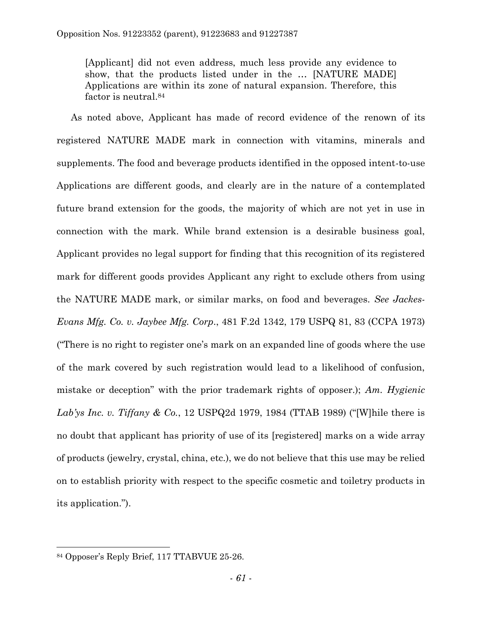[Applicant] did not even address, much less provide any evidence to show, that the products listed under in the … [NATURE MADE] Applications are within its zone of natural expansion. Therefore, this factor is neutral.<sup>84</sup>

As noted above, Applicant has made of record evidence of the renown of its registered NATURE MADE mark in connection with vitamins, minerals and supplements. The food and beverage products identified in the opposed intent-to-use Applications are different goods, and clearly are in the nature of a contemplated future brand extension for the goods, the majority of which are not yet in use in connection with the mark. While brand extension is a desirable business goal, Applicant provides no legal support for finding that this recognition of its registered mark for different goods provides Applicant any right to exclude others from using the NATURE MADE mark, or similar marks, on food and beverages. *See Jackes-Evans Mfg. Co. v. Jaybee Mfg. Corp*., 481 F.2d 1342, 179 USPQ 81, 83 (CCPA 1973) ("There is no right to register one's mark on an expanded line of goods where the use of the mark covered by such registration would lead to a likelihood of confusion, mistake or deception" with the prior trademark rights of opposer.); *Am. Hygienic Lab'ys Inc. v. Tiffany & Co.*, 12 USPQ2d 1979, 1984 (TTAB 1989) ("[W]hile there is no doubt that applicant has priority of use of its [registered] marks on a wide array of products (jewelry, crystal, china, etc.), we do not believe that this use may be relied on to establish priority with respect to the specific cosmetic and toiletry products in its application.").

<sup>84</sup> Opposer's Reply Brief, 117 TTABVUE 25-26.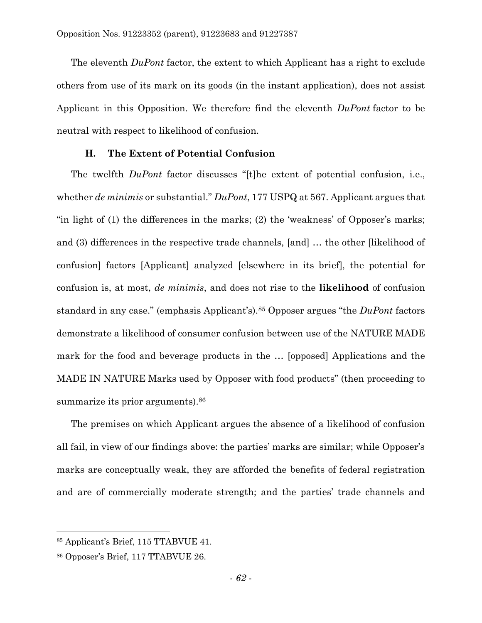The eleventh *DuPont* factor, the extent to which Applicant has a right to exclude others from use of its mark on its goods (in the instant application), does not assist Applicant in this Opposition. We therefore find the eleventh *DuPont* factor to be neutral with respect to likelihood of confusion.

# **H. The Extent of Potential Confusion**

The twelfth *DuPont* factor discusses "[t]he extent of potential confusion, i.e., whether *de minimis* or substantial." *DuPont*, 177 USPQ at 567. Applicant argues that "in light of (1) the differences in the marks; (2) the 'weakness' of Opposer's marks; and (3) differences in the respective trade channels, [and] … the other [likelihood of confusion] factors [Applicant] analyzed [elsewhere in its brief], the potential for confusion is, at most, *de minimis*, and does not rise to the **likelihood** of confusion standard in any case." (emphasis Applicant's).<sup>85</sup> Opposer argues "the *DuPont* factors demonstrate a likelihood of consumer confusion between use of the NATURE MADE mark for the food and beverage products in the … [opposed] Applications and the MADE IN NATURE Marks used by Opposer with food products" (then proceeding to summarize its prior arguments).<sup>86</sup>

The premises on which Applicant argues the absence of a likelihood of confusion all fail, in view of our findings above: the parties' marks are similar; while Opposer's marks are conceptually weak, they are afforded the benefits of federal registration and are of commercially moderate strength; and the parties' trade channels and

 $\overline{a}$ 

<sup>85</sup> Applicant's Brief, 115 TTABVUE 41.

<sup>86</sup> Opposer's Brief, 117 TTABVUE 26.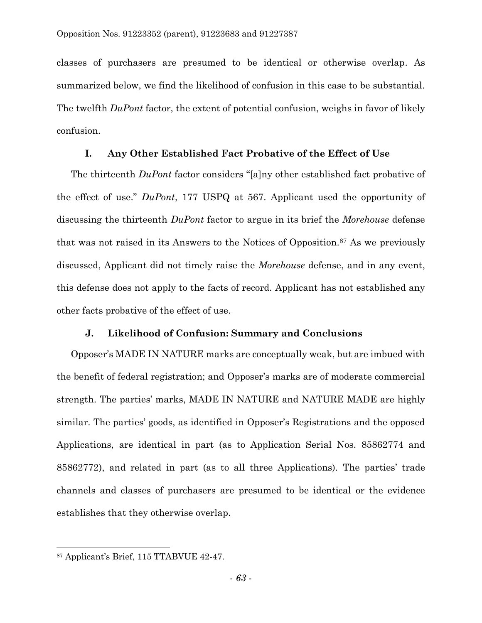classes of purchasers are presumed to be identical or otherwise overlap. As summarized below, we find the likelihood of confusion in this case to be substantial. The twelfth *DuPont* factor, the extent of potential confusion, weighs in favor of likely confusion.

## **I. Any Other Established Fact Probative of the Effect of Use**

The thirteenth *DuPont* factor considers "[a]ny other established fact probative of the effect of use." *DuPont*, 177 USPQ at 567. Applicant used the opportunity of discussing the thirteenth *DuPont* factor to argue in its brief the *Morehouse* defense that was not raised in its Answers to the Notices of Opposition.<sup>87</sup> As we previously discussed, Applicant did not timely raise the *Morehouse* defense, and in any event, this defense does not apply to the facts of record. Applicant has not established any other facts probative of the effect of use.

## **J. Likelihood of Confusion: Summary and Conclusions**

Opposer's MADE IN NATURE marks are conceptually weak, but are imbued with the benefit of federal registration; and Opposer's marks are of moderate commercial strength. The parties' marks, MADE IN NATURE and NATURE MADE are highly similar. The parties' goods, as identified in Opposer's Registrations and the opposed Applications, are identical in part (as to Application Serial Nos. 85862774 and 85862772), and related in part (as to all three Applications). The parties' trade channels and classes of purchasers are presumed to be identical or the evidence establishes that they otherwise overlap.

<sup>87</sup> Applicant's Brief, 115 TTABVUE 42-47.